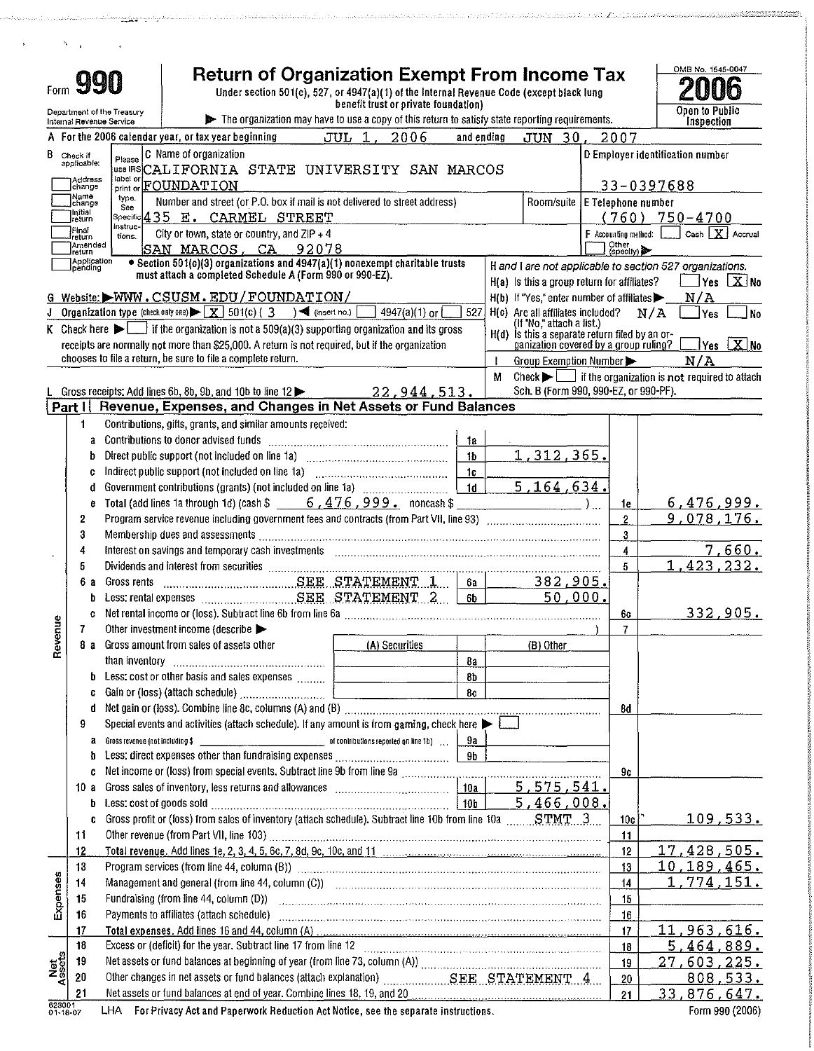| Form               |                                    |   | <b>Return of Organization Exempt From Income Tax</b><br>990<br>Under section 501(c), 527, or 4947(a)(1) of the Internal Revenue Code (except black lung<br>benefit trust or private foundation)                               |                |   |                                                                                           |                      |                    | OMB No. 1545-0047                                                                                 |
|--------------------|------------------------------------|---|-------------------------------------------------------------------------------------------------------------------------------------------------------------------------------------------------------------------------------|----------------|---|-------------------------------------------------------------------------------------------|----------------------|--------------------|---------------------------------------------------------------------------------------------------|
|                    |                                    |   | Department of the Treasury<br>The organization may have to use a copy of this return to satisfy state reporting requirements.<br>Internal Revenue Service                                                                     |                |   |                                                                                           |                      |                    | Open to Public<br>Inspection                                                                      |
|                    |                                    |   | $\mathbf{1}$ .<br>2006<br>A For the 2006 calendar year, or tax year beginning<br>JUL                                                                                                                                          | and ending     |   | JUN 30.                                                                                   |                      | 2007               |                                                                                                   |
|                    |                                    |   |                                                                                                                                                                                                                               |                |   |                                                                                           |                      |                    |                                                                                                   |
|                    | <b>B</b> Check if applicable:      |   | C Name of organization<br>Please<br>USB IRSCALIFORNIA STATE UNIVERSITY SAN MARCOS                                                                                                                                             |                |   |                                                                                           |                      |                    | D Employer identification number                                                                  |
|                    | Address                            |   | label or<br>print or <b>FOUNDATION</b>                                                                                                                                                                                        |                |   |                                                                                           |                      |                    | 33-0397688                                                                                        |
|                    | change<br>Name                     |   | type.<br>Number and street (or P.O. box if mail is not delivered to street address)                                                                                                                                           |                |   | Room/suite                                                                                |                      |                    |                                                                                                   |
|                    | спапдо<br>llnitial                 |   | See<br>Specific 435 E. CARMEL STREET                                                                                                                                                                                          |                |   |                                                                                           |                      |                    | E Telephone number<br>$(760)$ 750-4700                                                            |
|                    | return<br>Final                    |   | instruc-<br>City or town, state or country, and ZIP + 4                                                                                                                                                                       |                |   |                                                                                           | F Accounting method: |                    | Cash $\lfloor \frac{\mathbf{X}}{\mathbf{X}} \rfloor$ Accrual                                      |
|                    | freturn<br>Amended                 |   | tions.<br>SAN MARCOS, CA 92078                                                                                                                                                                                                |                |   |                                                                                           |                      | Other<br>(specify) |                                                                                                   |
|                    | Ireturn<br>Application<br>Ipending |   | • Section 501(c)(3) organizations and 4947(a)(1) nonexempt charitable trusts                                                                                                                                                  |                |   |                                                                                           |                      |                    | H and I are not applicable to section 527 organizations.                                          |
|                    |                                    |   | must attach a completed Schedule A (Form 990 or 990-EZ).                                                                                                                                                                      |                |   | H(a) Is this a group return for affiliates?                                               |                      |                    | Yes <b>X</b> No                                                                                   |
|                    |                                    |   | G Website: WWW.CSUSM.EDU/FOUNDATION/                                                                                                                                                                                          |                |   | $H(b)$ If "Yes," enter number of affiliates                                               |                      |                    | N/A                                                                                               |
| J                  |                                    |   | Organization type (check only one) $\blacktriangleright \boxed{X}$ 501(c) (3) $\blacktriangleleft$ (insert no.)<br>$4947(a)(1)$ or                                                                                            | 527            |   | H(c) Are all affiliates included?                                                         |                      |                    | N/A<br><b>Yes</b><br>No                                                                           |
|                    |                                    |   | K Check here $\blacktriangleright$ $\lfloor \cdots \rfloor$ if the organization is not a 509(a)(3) supporting organization and its gross                                                                                      |                |   | (If "No," attach a list.)                                                                 |                      |                    |                                                                                                   |
|                    |                                    |   | receipts are normally not more than \$25,000. A return is not required, but if the organization                                                                                                                               |                |   | $H(d)$ is this a separate return filed by an or-<br>ganization covered by a group ruling? |                      |                    | $\overline{\ }$ Yes $\overline{\bf X}$ No                                                         |
|                    |                                    |   | chooses to file a return, be sure to file a complete return.                                                                                                                                                                  |                |   | Group Exemption Number                                                                    |                      |                    | N/A                                                                                               |
|                    |                                    |   |                                                                                                                                                                                                                               |                | M |                                                                                           |                      |                    | Check $\blacktriangleright$ $\lfloor \quad \rfloor$ if the organization is not required to attach |
|                    |                                    |   | Gross receipts: Add lines 6b, 8b, 9b, and 10b to line 12<br>22, 944, 513.                                                                                                                                                     |                |   | Sch. B (Form 990, 990-EZ, or 990-PF).                                                     |                      |                    |                                                                                                   |
|                    | Part I                             |   | Revenue, Expenses, and Changes in Net Assets or Fund Balances                                                                                                                                                                 |                |   |                                                                                           |                      |                    |                                                                                                   |
|                    | 1                                  |   | Contributions, gifts, grants, and similar amounts received:                                                                                                                                                                   |                |   |                                                                                           |                      |                    |                                                                                                   |
|                    |                                    | a | Contributions to donor advised funds                                                                                                                                                                                          | 1a             |   |                                                                                           |                      |                    |                                                                                                   |
|                    |                                    | b |                                                                                                                                                                                                                               | 1 <sub>b</sub> |   | 1.312,365.                                                                                |                      |                    |                                                                                                   |
|                    |                                    | c |                                                                                                                                                                                                                               | 1 <sub>c</sub> |   |                                                                                           |                      |                    |                                                                                                   |
|                    |                                    | d |                                                                                                                                                                                                                               | 1 <sub>d</sub> |   | 5, 164, 634.                                                                              |                      |                    |                                                                                                   |
|                    |                                    | e | Total (add lines 1a through 1d) (cash \$ $-6,476,999$ , noncash \$                                                                                                                                                            |                |   |                                                                                           |                      | 1e                 | 6,476,999.                                                                                        |
|                    | 2                                  |   | Program service revenue including government fees and contracts (from Part VII, line 93) [[11] Program Service Trummanners                                                                                                    |                |   |                                                                                           |                      | $\bf 2$            | 9,078,176.                                                                                        |
|                    | 3                                  |   | Membership dues and assessments                                                                                                                                                                                               |                |   |                                                                                           |                      | 3                  |                                                                                                   |
|                    | 4                                  |   | Interest on savings and temporary cash investments [11] [11] matter is a series of the savings and temporary cash investments [11] matter is a series of the same in the same in the same in the same in the same in the same |                |   |                                                                                           |                      | $\ddagger$         | 7,660.                                                                                            |
|                    | 5                                  |   |                                                                                                                                                                                                                               |                |   |                                                                                           |                      | 5                  | 1,423,232.                                                                                        |
|                    | 6а                                 |   | Gross rents <b>Material SECTATEMENT 1</b>                                                                                                                                                                                     | 6a             |   | 382,905.                                                                                  |                      |                    |                                                                                                   |
|                    |                                    | b |                                                                                                                                                                                                                               | 6b             |   | 50,000.                                                                                   |                      |                    |                                                                                                   |
|                    |                                    | c |                                                                                                                                                                                                                               |                |   |                                                                                           |                      | 6c                 | 332,905.                                                                                          |
| venue              | 7                                  |   | Other investment income (describe                                                                                                                                                                                             |                |   |                                                                                           |                      | $\overline{7}$     |                                                                                                   |
| å                  | 8а                                 |   | Gross amount from sales of assets other<br>(A) Securities                                                                                                                                                                     |                |   | (B) Other                                                                                 |                      |                    |                                                                                                   |
|                    |                                    |   |                                                                                                                                                                                                                               | 8а             |   |                                                                                           |                      |                    |                                                                                                   |
|                    |                                    | b | Less: cost or other basis and sales expenses                                                                                                                                                                                  | 8b             |   |                                                                                           |                      |                    |                                                                                                   |
|                    |                                    | c |                                                                                                                                                                                                                               | 8c             |   |                                                                                           |                      |                    |                                                                                                   |
|                    |                                    | d |                                                                                                                                                                                                                               |                |   |                                                                                           |                      | 8d                 |                                                                                                   |
|                    | 9                                  |   | Special events and activities (attach schedule). If any amount is from gaming, check here $\blacktriangleright$                                                                                                               |                |   |                                                                                           |                      |                    |                                                                                                   |
|                    |                                    | a |                                                                                                                                                                                                                               | 9а             |   |                                                                                           |                      |                    |                                                                                                   |
|                    |                                    | b |                                                                                                                                                                                                                               | 9b             |   |                                                                                           |                      |                    |                                                                                                   |
|                    |                                    | c |                                                                                                                                                                                                                               |                |   |                                                                                           |                      | 9c                 |                                                                                                   |
|                    | 10 a                               |   |                                                                                                                                                                                                                               | 10a            |   | 5,575,541.                                                                                |                      |                    |                                                                                                   |
|                    |                                    | b | Less: cost of goods sold $\ldots$ $\ldots$ $\ldots$ $\ldots$ $\ldots$ $\ldots$ $\ldots$ $\ldots$ $\ldots$ $\ldots$ $\ldots$ $\ldots$ $\ldots$ $\ldots$                                                                        |                |   | 5,466,008.                                                                                |                      |                    |                                                                                                   |
|                    |                                    | c | Gross profit or (loss) from sales of inventory (attach schedule). Subtract line 10b from line 10a  STMT3                                                                                                                      |                |   |                                                                                           |                      | 10c                | <u>109,533.</u>                                                                                   |
|                    | 11                                 |   |                                                                                                                                                                                                                               |                |   |                                                                                           |                      | 11                 |                                                                                                   |
|                    | 12                                 |   |                                                                                                                                                                                                                               |                |   |                                                                                           |                      | 12                 | 17,428,505.                                                                                       |
|                    | 13                                 |   |                                                                                                                                                                                                                               |                |   |                                                                                           |                      | 13                 | <u>10,189,465.</u>                                                                                |
|                    | 14                                 |   |                                                                                                                                                                                                                               |                |   |                                                                                           |                      | 14                 | 1,774,151.                                                                                        |
| Expenses           | 15                                 |   |                                                                                                                                                                                                                               |                |   |                                                                                           |                      | 15                 |                                                                                                   |
|                    | 16                                 |   | Payments to affiliates (attach schedule) encontractional contraction contraction contraction contraction control of                                                                                                           |                |   |                                                                                           |                      | 16                 |                                                                                                   |
|                    | 17                                 |   |                                                                                                                                                                                                                               |                |   |                                                                                           |                      | 17                 | 11,963,616.                                                                                       |
|                    | 18                                 |   |                                                                                                                                                                                                                               |                |   |                                                                                           |                      | 18                 | <u>5,464,889.</u>                                                                                 |
| Net<br>Ssets       | 19                                 |   |                                                                                                                                                                                                                               |                |   |                                                                                           |                      | 19                 | <u>27,603,225.</u>                                                                                |
|                    | 20                                 |   | Other changes in net assets or fund balances (attach explanation) Mathematics, SEE STATEMENT 4                                                                                                                                |                |   |                                                                                           |                      | 20                 | 808,533.                                                                                          |
|                    | 21                                 |   | Net assets or fund balances at end of year. Combine lines 18, 19, and 20                                                                                                                                                      |                |   |                                                                                           |                      | 21                 | <u>33,876,647.</u>                                                                                |
| 623001<br>01-18-07 |                                    |   | LHA For Privacy Act and Paperwork Reduction Act Notice, see the separate instructions.                                                                                                                                        |                |   |                                                                                           |                      |                    | Form 990 (2006)                                                                                   |

وحوار والأرادية

the clusters and the company of the COS

misticale del continuita accadiomorphysicale produced de 1999 e 1999 e 1999 de la misticale de la consecuencia

 $\mathcal{A}^{\pm}$ 

 $\mathcal{N}=\mathcal{N}$  . The set of  $\mathcal{N}$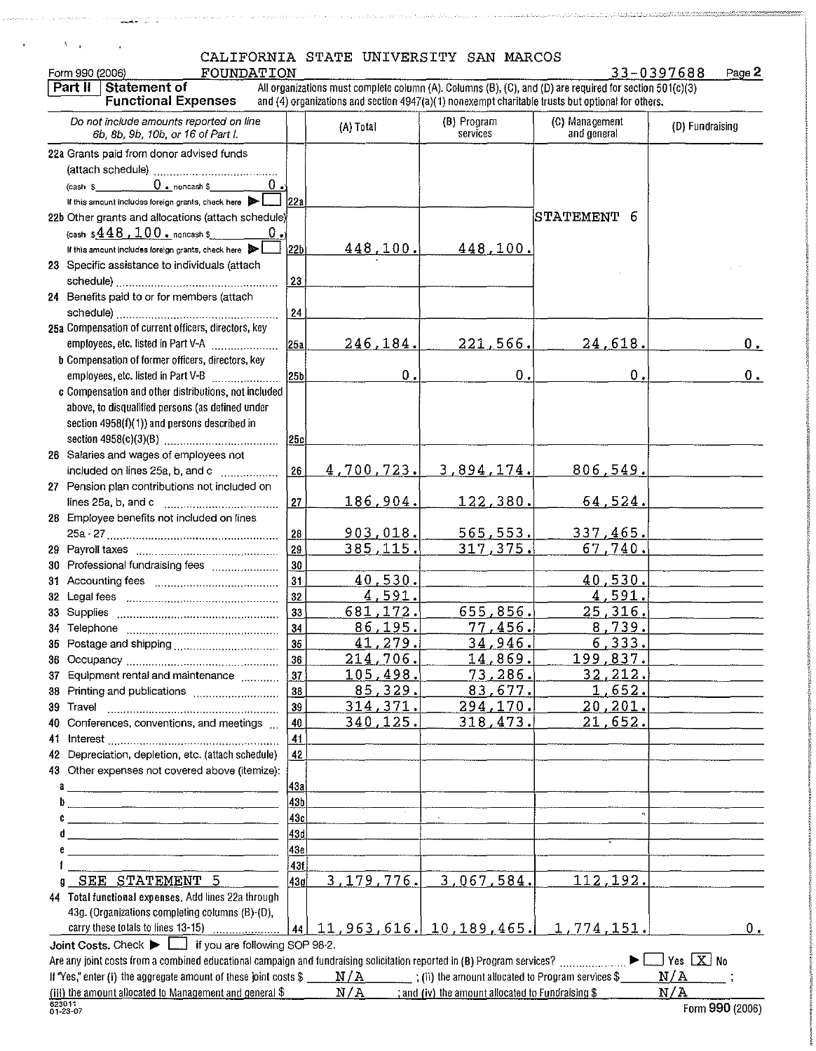### CALIFORNIA STATE UNIVERSITY SAN MARCOS FOUNDATION 33-039768 PA 23-03976

 $\mathbb{E}[\mathcal{I},\mathcal{I},\mathcal{I},\ldots,\mathcal{I},\mathcal{I}]\neq\mathbb{E}[\mathcal{I},\mathcal{I},\mathcal{I},\mathcal{I},\ldots,\mathcal{I}]\neq\mathcal{I},$ 

الأرانيا المتفققة

 $\alpha$ 

 $\delta_{\rm{max}}$ 

| 33-0397688 |  |  |  |  |  |  | Page 2 |  |
|------------|--|--|--|--|--|--|--------|--|
|------------|--|--|--|--|--|--|--------|--|

| Form 990 (2006)<br>FOUNDATION                                                                                            |                 |                                  |                                                               |                                                                                                                                                                                                               | 33-0397688<br>Page 2 |
|--------------------------------------------------------------------------------------------------------------------------|-----------------|----------------------------------|---------------------------------------------------------------|---------------------------------------------------------------------------------------------------------------------------------------------------------------------------------------------------------------|----------------------|
| Part II<br>Statement of<br><b>Functional Expenses</b>                                                                    |                 |                                  |                                                               | All organizations must complete column (A). Columns (B), (C), and (D) are required for section 501(c)(3)<br>and (4) organizations and section 4947(a)(1) nonexempt charitable trusts but optional for others. |                      |
| Do not include amounts reported on line<br>6b, 8b, 9b, 10b, or 16 of Part I.                                             |                 | (A) Total                        | (B) Program<br>services                                       | (C) Management<br>and general                                                                                                                                                                                 | (D) Fundraising      |
| 22a Grants paid from donor advised funds                                                                                 |                 |                                  |                                                               |                                                                                                                                                                                                               |                      |
|                                                                                                                          |                 |                                  |                                                               |                                                                                                                                                                                                               |                      |
| $0 \cdot$ noncash \$<br>(cash \$                                                                                         |                 |                                  |                                                               |                                                                                                                                                                                                               |                      |
| If this amount includes foreign grants, check here                                                                       | 122a            |                                  |                                                               |                                                                                                                                                                                                               |                      |
| 22b Other grants and allocations (attach schedule)                                                                       |                 |                                  |                                                               | STATEMENT<br>6                                                                                                                                                                                                |                      |
| (cash $$448$ , $100$ . noncash \$                                                                                        |                 |                                  |                                                               |                                                                                                                                                                                                               |                      |
| If this amount includes foreign grants, check here                                                                       | 22b             | 448,100.                         | 448,100.                                                      |                                                                                                                                                                                                               |                      |
| 23 Specific assistance to individuals (attach                                                                            |                 |                                  |                                                               |                                                                                                                                                                                                               |                      |
|                                                                                                                          | 23              |                                  |                                                               |                                                                                                                                                                                                               |                      |
| 24 Benefits paid to or for members (attach                                                                               |                 |                                  |                                                               |                                                                                                                                                                                                               |                      |
|                                                                                                                          | 24              |                                  |                                                               |                                                                                                                                                                                                               |                      |
| 25a Compensation of current officers, directors, key                                                                     |                 |                                  |                                                               |                                                                                                                                                                                                               |                      |
| employees, etc. listed in Part V-A                                                                                       | 25 <sub>1</sub> | <u>246,184.</u>                  | 221,566.                                                      | 24,618.                                                                                                                                                                                                       | $0_{\text{L}}$       |
| b Compensation of former officers, directors, key                                                                        |                 |                                  |                                                               |                                                                                                                                                                                                               |                      |
| employees, etc. listed in Part V-B<br><u>.</u>                                                                           | 25b             | $\mathbf 0$ .                    | $\mathbf 0$ .                                                 | $\mathbf 0$                                                                                                                                                                                                   | $0_{\bullet}$        |
| c Compensation and other distributions, not included                                                                     |                 |                                  |                                                               |                                                                                                                                                                                                               |                      |
| above, to disqualified persons (as defined under                                                                         |                 |                                  |                                                               |                                                                                                                                                                                                               |                      |
| section 4958(f)(1)) and persons described in                                                                             |                 |                                  |                                                               |                                                                                                                                                                                                               |                      |
|                                                                                                                          | 25c             |                                  |                                                               |                                                                                                                                                                                                               |                      |
| 26 Salaries and wages of employees not                                                                                   |                 |                                  |                                                               |                                                                                                                                                                                                               |                      |
| included on lines 25a, b, and c                                                                                          | 26              | 4,700,723.                       | <u>3,894,174.</u>                                             | 806,549.                                                                                                                                                                                                      |                      |
| 27 Pension plan contributions not included on                                                                            |                 |                                  |                                                               |                                                                                                                                                                                                               |                      |
|                                                                                                                          | 27              | 186,904.                         | 122,380                                                       | 64,524.                                                                                                                                                                                                       |                      |
| 28 Employee benefits not included on lines                                                                               |                 |                                  |                                                               |                                                                                                                                                                                                               |                      |
|                                                                                                                          | 28              | 903,018.                         | 565,553.                                                      | 337,465.                                                                                                                                                                                                      |                      |
|                                                                                                                          | 29              | 385,115.                         | 317,375.                                                      | $\overline{6}$ 7.740.                                                                                                                                                                                         |                      |
| 30 Professional fundraising fees                                                                                         | 30              |                                  |                                                               |                                                                                                                                                                                                               |                      |
|                                                                                                                          | 31              | 40,530.                          |                                                               | 40,530.                                                                                                                                                                                                       |                      |
|                                                                                                                          | 32              | 591.<br>4.                       |                                                               | 4,591.                                                                                                                                                                                                        |                      |
|                                                                                                                          | 33              | 681,172.                         | 655,856.                                                      | 25,316.                                                                                                                                                                                                       |                      |
|                                                                                                                          | 34              | 86,195                           | 77.456.                                                       | 8,739.                                                                                                                                                                                                        |                      |
|                                                                                                                          | 35              | 41,279                           | 34,946.                                                       | 6,333.                                                                                                                                                                                                        |                      |
|                                                                                                                          | 36              | 214,706.                         | 14,869.                                                       | <u> 199,837. </u>                                                                                                                                                                                             |                      |
| 37 Equipment rental and maintenance                                                                                      | 37              | 105,498.                         | 73,286.                                                       | 32, 212.                                                                                                                                                                                                      |                      |
| 38 Printing and publications                                                                                             | 38              | 85,329.                          | 83,677.                                                       | 1,652.                                                                                                                                                                                                        |                      |
|                                                                                                                          | 39              | 314,371.                         | 294,170.                                                      | 20, 201.                                                                                                                                                                                                      |                      |
| 40 Conferences, conventions, and meetings                                                                                | 40              | 340,125.                         | 318, 473.                                                     | 21, <u>65</u> 2.                                                                                                                                                                                              |                      |
|                                                                                                                          | 41              |                                  |                                                               |                                                                                                                                                                                                               |                      |
| 42 Depreciation, depletion, etc. (attach schedule)                                                                       | 42              |                                  |                                                               |                                                                                                                                                                                                               |                      |
| 43 Other expenses not covered above (itemize):                                                                           |                 |                                  |                                                               |                                                                                                                                                                                                               |                      |
| a                                                                                                                        | 43а             |                                  |                                                               |                                                                                                                                                                                                               |                      |
| b<br>.<br>1980 - Paris Alexandro III, Antonio al II-lea de Jacques de La Caractería de La Caractería de La Caractería de | 43b             |                                  |                                                               |                                                                                                                                                                                                               |                      |
| c                                                                                                                        | 43c             |                                  |                                                               |                                                                                                                                                                                                               |                      |
|                                                                                                                          | 43d             |                                  |                                                               |                                                                                                                                                                                                               |                      |
|                                                                                                                          | 43e             |                                  |                                                               |                                                                                                                                                                                                               |                      |
|                                                                                                                          | 43f             |                                  |                                                               |                                                                                                                                                                                                               |                      |
| 9 SEE STATEMENT 5                                                                                                        | 43q             | 3, 179, 776.                     | 3,067,584.                                                    | 112,192.                                                                                                                                                                                                      |                      |
| 44 Total functional expenses, Add lines 22a through                                                                      |                 |                                  |                                                               |                                                                                                                                                                                                               |                      |
| 43g. (Organizations completing columns (B)-(D),                                                                          |                 |                                  |                                                               |                                                                                                                                                                                                               |                      |
|                                                                                                                          |                 | $44$ 11, 963, 616. 10, 189, 465. |                                                               | 1,774,151.                                                                                                                                                                                                    | 0.                   |
| Joint Costs. Check       if you are following SOP 98-2.                                                                  |                 |                                  |                                                               |                                                                                                                                                                                                               |                      |
|                                                                                                                          |                 |                                  |                                                               |                                                                                                                                                                                                               | $\Box$ Yes $\Box$ No |
| If "Yes," enter (i) the aggregate amount of these joint costs \$                                                         |                 |                                  | $\text{N/A}$ (ii) the amount allocated to Program services \$ |                                                                                                                                                                                                               | N/A                  |
| (iii) the amount allocated to Management and general \$                                                                  |                 | N/A                              | ; and (iv) the amount allocated to Fundraising \$             |                                                                                                                                                                                                               | N/A                  |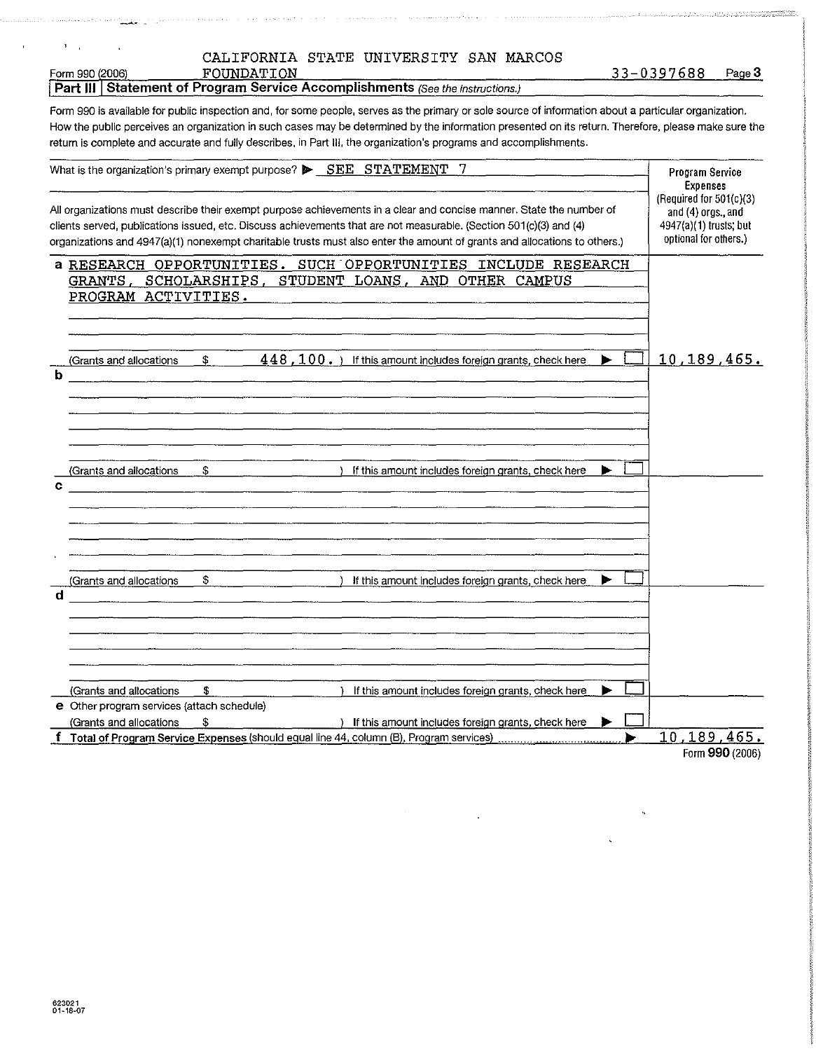|  |  | CALIFORNIA STATE UNIVERSITY SAN MARCOS |  |  |
|--|--|----------------------------------------|--|--|
|--|--|----------------------------------------|--|--|

| Form 990 (2006) | FOUNDATION                                                                           | 3-0397688 | Page 3 |
|-----------------|--------------------------------------------------------------------------------------|-----------|--------|
|                 | <b>Part III Statement of Program Service Accomplishments (See the instructions.)</b> |           |        |

 $\bar{\mathbf{r}}$  $\mathbf{r}$ 

Form 990 is available for public inspection and, for some people, serves as the primary or sole source of information about a particular organization. How the public perceives an organization in such cases may be determined by the information presented on its return. Therefore, please make sure the return is complete and accurate and fully describes, in Part Ill, the organization's programs and accomplishments.

| What is the organization's primary exempt purpose? $\triangleright$ $\underline{\text{SEE}}$ STATEMENT 7                                                                                                                                                                                                                                                                | Program Service<br><b>Expenses</b>                                                                 |
|-------------------------------------------------------------------------------------------------------------------------------------------------------------------------------------------------------------------------------------------------------------------------------------------------------------------------------------------------------------------------|----------------------------------------------------------------------------------------------------|
| All organizations must describe their exempt purpose achievements in a clear and concise manner. State the number of<br>clients served, publications issued, etc. Discuss achievements that are not measurable. (Section 501(c)(3) and (4)<br>organizations and 4947(a)(1) nonexempt charitable trusts must also enter the amount of grants and allocations to others.) | (Required for $501(c)(3)$<br>and (4) orgs., and<br>4947(a)(1) trusts; but<br>optional for others.) |
| a RESEARCH OPPORTUNITIES. SUCH OPPORTUNITIES INCLUDE RESEARCH<br>GRANTS, SCHOLARSHIPS, STUDENT LOANS, AND OTHER CAMPUS<br>PROGRAM ACTIVITIES.                                                                                                                                                                                                                           |                                                                                                    |
| $448$ , $100.$ ) If this amount includes foreign grants, check here<br>s.<br>(Grants and allocations<br>ь                                                                                                                                                                                                                                                               | 10, 189, 465.                                                                                      |
| \$<br>If this amount includes foreign grants, check here<br>(Grants and allocations<br>c                                                                                                                                                                                                                                                                                |                                                                                                    |
| \$<br>(Grants and allocations<br>If this amount includes foreign grants, check here<br>d                                                                                                                                                                                                                                                                                |                                                                                                    |
| \$<br>(Grants and allocations<br>If this amount includes foreign grants, check here<br>e Other program services (attach schedule)<br>(Grants and allocations<br>£<br>If this amount includes foreign grants, check here                                                                                                                                                 |                                                                                                    |
| Total of Program Service Expenses (should equal line 44, column (B), Program services)                                                                                                                                                                                                                                                                                  | 10,189,465.<br><b>Corps 000 (2006)</b>                                                             |

Form 990 (2006)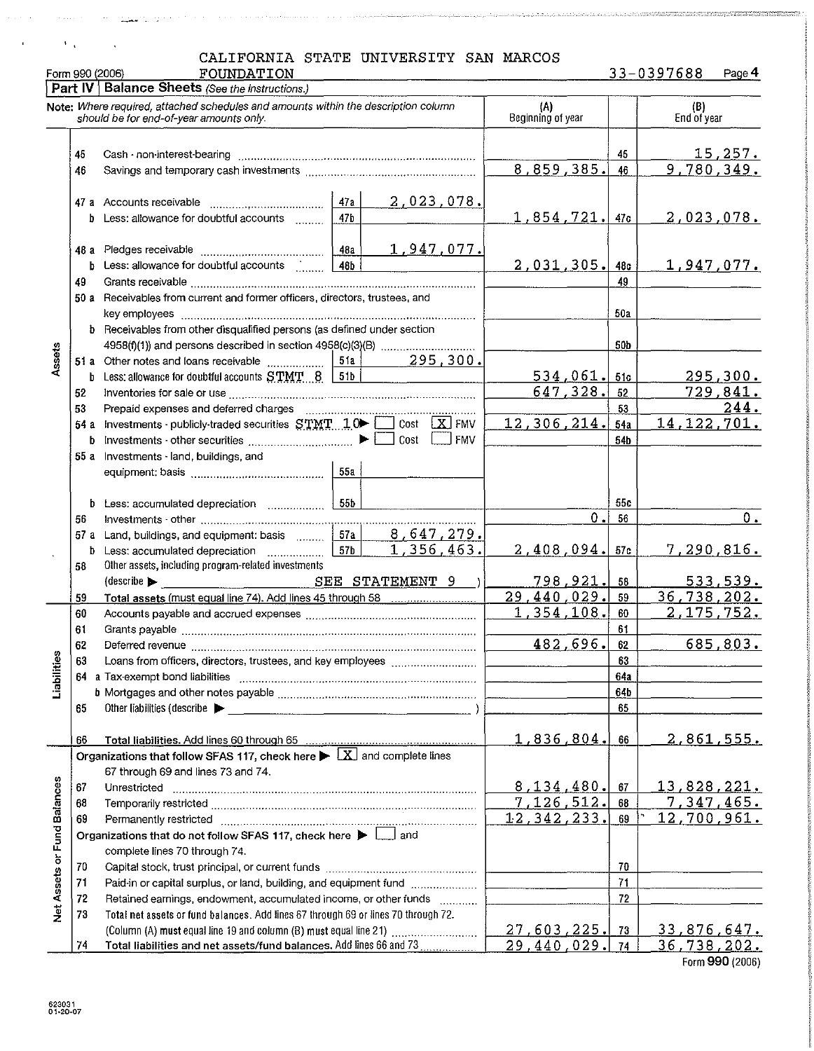|                 | CALIFORNIA STATE UNIVERSITY SAN MARCOS |  |  |
|-----------------|----------------------------------------|--|--|
| Form 990 (2006) | FOUNDATION                             |  |  |

33-0397688 Paqe4

|                             |          | Part IV   Balance Sheets (See the instructions.)                                                                                                                                                                               |                          |                                   |                     |                |                              |
|-----------------------------|----------|--------------------------------------------------------------------------------------------------------------------------------------------------------------------------------------------------------------------------------|--------------------------|-----------------------------------|---------------------|----------------|------------------------------|
|                             |          | Note: Where required, attached schedules and amounts within the description column<br>should be for end-of-year amounts only.                                                                                                  | (A)<br>Beginning of year |                                   | (B)<br>End of year  |                |                              |
|                             |          |                                                                                                                                                                                                                                |                          |                                   |                     |                |                              |
|                             | 45       |                                                                                                                                                                                                                                |                          |                                   | 45                  | <u>15,257.</u> |                              |
|                             | 46       |                                                                                                                                                                                                                                | 8,859,385.               | 46                                | 9,780,349.          |                |                              |
|                             |          |                                                                                                                                                                                                                                |                          |                                   |                     |                |                              |
|                             |          |                                                                                                                                                                                                                                |                          | <u>2,023,078.</u>                 |                     |                |                              |
|                             |          | b Less: allowance for doubtful accounts                                                                                                                                                                                        | 47 <sub>b</sub>          |                                   | $1,854,721$ , $47c$ |                | <u>2,023,078.</u>            |
|                             |          |                                                                                                                                                                                                                                |                          |                                   |                     |                |                              |
|                             |          |                                                                                                                                                                                                                                | 48a                      | <u>1,947,077.</u>                 |                     |                |                              |
|                             |          | b Less: allowance for doubtful accounts                                                                                                                                                                                        | 48b                      |                                   | <u>2,031,305.</u>   | 48c            | <u>1,947,077.</u>            |
|                             | 49       | 50 a Receivables from current and former officers, directors, trustees, and                                                                                                                                                    |                          |                                   |                     | 49             |                              |
|                             |          |                                                                                                                                                                                                                                |                          |                                   |                     | 50a            |                              |
|                             |          | <b>b</b> Receivables from other disqualified persons (as defined under section                                                                                                                                                 |                          |                                   |                     |                |                              |
|                             |          |                                                                                                                                                                                                                                |                          |                                   |                     | 50b            |                              |
| Assets                      |          |                                                                                                                                                                                                                                |                          | $51a$ 295,300.                    |                     |                |                              |
|                             |          | <b>b</b> Less: allowance for doubtful accounts $STMT - 8$   51b                                                                                                                                                                |                          | and the company of the company of | 534,061.            | 51c            | 295,300.                     |
|                             | 52       |                                                                                                                                                                                                                                |                          |                                   | 647,328.            | 52             | <u>729,841.</u>              |
|                             | 53       |                                                                                                                                                                                                                                |                          |                                   |                     | 53             | 244.                         |
|                             |          | 54 a Investments - publicly-traded securities $STMT1.0$ $\Box$ Cost $\Box$ FMV                                                                                                                                                 |                          |                                   | 12,306,214.         | 54a            | <u>14,122,701.</u>           |
|                             |          | <b>b</b> Investments other securities $\ldots$ $\ldots$ $\ldots$ $\ldots$ $\ldots$ $\ldots$ $\ldots$ $\ldots$ $\ldots$ Cost $\Box$                                                                                             |                          | <b>FMV</b>                        |                     | 54b            |                              |
|                             |          | 55 a Investments - land, buildings, and                                                                                                                                                                                        |                          |                                   |                     |                |                              |
|                             |          |                                                                                                                                                                                                                                | 55a                      |                                   |                     |                |                              |
|                             |          |                                                                                                                                                                                                                                |                          |                                   |                     |                |                              |
|                             |          |                                                                                                                                                                                                                                |                          |                                   | 0.                  | 55c<br>56      | $0_{\cdot}$                  |
|                             | 56       | 57 a Land, buildings, and equipment: basis  57a                                                                                                                                                                                |                          | 8,647,279.                        |                     |                |                              |
|                             |          | b Less: accumulated depreciation                                                                                                                                                                                               | 57 <sub>b</sub>          | 1,356,463.                        | $2,408,094.$ 57c    |                | <u>7,290,816.</u>            |
|                             | 58       | Other assets, including program-related investments                                                                                                                                                                            |                          |                                   |                     |                |                              |
|                             |          | $\left($ describe                                                                                                                                                                                                              |                          | SEE STATEMENT 9                   | 798,921.            | 58             | <u>533,539.</u>              |
|                             | 59       | Total assets (must equal line 74). Add lines 45 through 58 [11, 2010]                                                                                                                                                          |                          |                                   | 29,440,029.         | 59             | 36,738,202.                  |
|                             | 60       |                                                                                                                                                                                                                                |                          |                                   | 1,354,108.          | 60             | <u>2,175,752.</u>            |
|                             | 61       |                                                                                                                                                                                                                                |                          |                                   |                     | 61             |                              |
|                             | 62       |                                                                                                                                                                                                                                |                          |                                   | 482,696.            | 62             | 685.803.                     |
| lities                      | 63       |                                                                                                                                                                                                                                |                          | 63                                |                     |                |                              |
| Liabil                      |          |                                                                                                                                                                                                                                |                          |                                   |                     | 64a<br>64b     |                              |
|                             | 65       |                                                                                                                                                                                                                                |                          |                                   |                     | 65             |                              |
|                             |          |                                                                                                                                                                                                                                |                          |                                   |                     |                |                              |
|                             | 66       |                                                                                                                                                                                                                                |                          |                                   | 1,836,804.          | 66             | 2,861,555.                   |
|                             |          | Organizations that follow SFAS 117, check here $\blacktriangleright \boxed{X}$ and complete lines                                                                                                                              |                          |                                   |                     |                |                              |
|                             |          | 67 through 69 and lines 73 and 74.                                                                                                                                                                                             |                          |                                   |                     |                |                              |
|                             | 67       | Unrestricted                                                                                                                                                                                                                   |                          |                                   | 8,134,480.          | 67             | <u>13,828,221.</u>           |
|                             | 68       |                                                                                                                                                                                                                                |                          |                                   | 7,126,512.          | 68             | 7,347,465.                   |
|                             | 69       | Permanently restricted manufactured contains and contained and contained and contained and contained and contained and contained and contained and contained and contained and contained and contained and contained and conta |                          |                                   | 12,342,233.         | 69             | 12,700,961.                  |
|                             |          | Organizations that do not follow SFAS 117, check here $\blacktriangleright \Box$ and                                                                                                                                           |                          |                                   |                     |                |                              |
|                             |          | complete lines 70 through 74.                                                                                                                                                                                                  |                          |                                   |                     |                |                              |
|                             | 70       |                                                                                                                                                                                                                                |                          |                                   |                     | 70             |                              |
|                             | 71       | Paid-in or capital surplus, or land, building, and equipment fund                                                                                                                                                              |                          |                                   |                     | 71<br>72       |                              |
| Net Assets or Fund Balances | 72<br>73 | Retained earnings, endowment, accumulated income, or other funds<br>Total net assets or fund balances. Add lines 67 through 69 or lines 70 through 72.                                                                         |                          | <u>.</u>                          |                     |                |                              |
|                             |          | (Column (A) must equal line 19 and column (B) must equal line 21)                                                                                                                                                              |                          |                                   | <u>27,603,225.</u>  | 13             | <u>33,876,647.</u>           |
|                             | 74       | Total liabilities and net assets/fund balances. Add lines 66 and 73                                                                                                                                                            |                          |                                   | 29,440,029.         | 74             | 36,738,202.                  |
|                             |          |                                                                                                                                                                                                                                |                          |                                   |                     |                | $\sim$ 000 $\mu$ 0000 $\sim$ |

form 990 (2006)

 $\hat{\rho}$  is  $\hat{\rho}$  .

 $\bar{1}$ 

 $V_{\rm{eff}}$ 

 $\lambda$ 

 $\sigma$  -mass from the  $\sigma$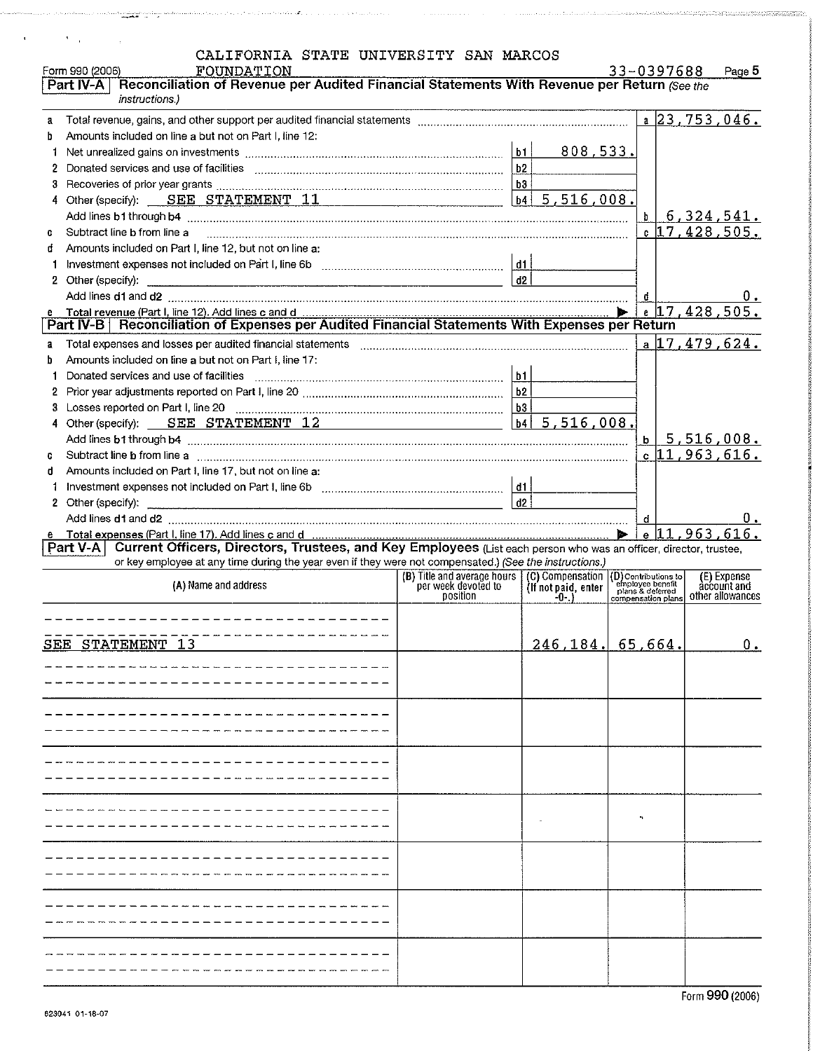|  |  |  | CALIFORNIA STATE UNIVERSITY SAN MARCOS |  |  |
|--|--|--|----------------------------------------|--|--|
|--|--|--|----------------------------------------|--|--|

ina. 'nш

 $\mathcal{L}$ 

 $\overline{\phantom{a}}$ 

 $\lambda_{\rm max}$ 

|              | Form 990 (2006)<br>FOUNDATION<br>Reconciliation of Revenue per Audited Financial Statements With Revenue per Return (See the<br>Part IV-A<br>instructions.)                                                                                     |                     | 33-0397688   |                                 | Page 5    |
|--------------|-------------------------------------------------------------------------------------------------------------------------------------------------------------------------------------------------------------------------------------------------|---------------------|--------------|---------------------------------|-----------|
| $\mathbf{a}$ |                                                                                                                                                                                                                                                 |                     |              | a $23, 753, 046$ .              |           |
| b            | Amounts included on line a but not on Part I, line 12:                                                                                                                                                                                          |                     |              |                                 |           |
|              |                                                                                                                                                                                                                                                 | 808,533.            |              |                                 |           |
|              |                                                                                                                                                                                                                                                 |                     |              |                                 |           |
| 3            |                                                                                                                                                                                                                                                 |                     |              |                                 |           |
|              | 4 Other (specify): SEE STATEMENT 11                                                                                                                                                                                                             | 5,516,008.<br> b4   |              |                                 |           |
|              |                                                                                                                                                                                                                                                 |                     |              | 6,324,541.                      |           |
| G.           | Subtract line b from line a                                                                                                                                                                                                                     |                     | $\mathbf{b}$ | $c$ 17, 428, 505.               |           |
| đ            | Amounts included on Part I, line 12, but not on line a:                                                                                                                                                                                         |                     |              |                                 |           |
|              |                                                                                                                                                                                                                                                 |                     |              |                                 |           |
|              |                                                                                                                                                                                                                                                 | d2                  |              |                                 |           |
|              |                                                                                                                                                                                                                                                 |                     |              |                                 |           |
|              |                                                                                                                                                                                                                                                 |                     | ď            | $17,428,505$ .                  | $0 \cdot$ |
|              |                                                                                                                                                                                                                                                 |                     |              |                                 |           |
|              |                                                                                                                                                                                                                                                 |                     |              | $a$ 17,479,624.                 |           |
| a<br>b       | Amounts included on line a but not on Part I, line 17:                                                                                                                                                                                          |                     |              |                                 |           |
|              | Donated services and use of facilities                                                                                                                                                                                                          |                     |              |                                 |           |
| 1            |                                                                                                                                                                                                                                                 |                     |              |                                 |           |
|              |                                                                                                                                                                                                                                                 |                     |              |                                 |           |
|              |                                                                                                                                                                                                                                                 | 5,516,008.<br> b4   |              |                                 |           |
|              | 4 Other (specify): SEE STATEMENT 12                                                                                                                                                                                                             |                     |              |                                 |           |
|              |                                                                                                                                                                                                                                                 |                     | $\mathbf{b}$ | 5,516,008.<br>$c$ 11, 963, 616. |           |
| C.           | Subtract line b from line a measurement contains and contained a state of the binds of the binds of the analysis of the binds of the analysis of the binds of the binds of the binds of the binds of the binds of the binds of                  |                     |              |                                 |           |
| đ            | Amounts included on Part I, line 17, but not on line a:                                                                                                                                                                                         |                     |              |                                 |           |
|              |                                                                                                                                                                                                                                                 | d2                  |              |                                 |           |
|              |                                                                                                                                                                                                                                                 |                     |              |                                 |           |
|              |                                                                                                                                                                                                                                                 |                     |              |                                 |           |
|              |                                                                                                                                                                                                                                                 |                     | đ            |                                 | υ.        |
|              | e Total expenses (Part I, line 17). Add lines c and d members and members and members of the $\vert 11,963,616$ .<br>Part V-A Current Officers, Directors, Trustees, and Key Employees (List each person who was an officer, director, trustee, |                     |              |                                 |           |
|              | or key employee at any time during the year even if they were not compensated.) (See the instructions.)<br>(A) Name and address                                                                                                                 |                     |              | (E) Expense<br>account and      |           |
|              |                                                                                                                                                                                                                                                 |                     |              | other allowances                |           |
|              | ______________________                                                                                                                                                                                                                          |                     |              |                                 |           |
|              |                                                                                                                                                                                                                                                 |                     |              |                                 |           |
|              | SEE STATEMENT 13                                                                                                                                                                                                                                | $246.184$ , 65.664. |              |                                 | $0_{\pm}$ |
|              |                                                                                                                                                                                                                                                 |                     |              |                                 |           |
|              |                                                                                                                                                                                                                                                 |                     |              |                                 |           |
|              |                                                                                                                                                                                                                                                 |                     |              |                                 |           |
|              |                                                                                                                                                                                                                                                 |                     |              |                                 |           |
|              |                                                                                                                                                                                                                                                 |                     |              |                                 |           |
|              |                                                                                                                                                                                                                                                 |                     |              |                                 |           |
|              |                                                                                                                                                                                                                                                 |                     |              |                                 |           |
|              |                                                                                                                                                                                                                                                 |                     |              |                                 |           |
|              |                                                                                                                                                                                                                                                 |                     |              |                                 |           |
|              |                                                                                                                                                                                                                                                 |                     |              |                                 |           |
|              |                                                                                                                                                                                                                                                 |                     |              |                                 |           |
|              |                                                                                                                                                                                                                                                 |                     |              |                                 |           |
|              |                                                                                                                                                                                                                                                 |                     |              |                                 |           |
|              |                                                                                                                                                                                                                                                 |                     |              |                                 |           |
|              |                                                                                                                                                                                                                                                 |                     |              |                                 |           |
|              |                                                                                                                                                                                                                                                 |                     |              |                                 |           |
|              |                                                                                                                                                                                                                                                 |                     |              |                                 |           |
|              |                                                                                                                                                                                                                                                 |                     |              |                                 |           |
|              |                                                                                                                                                                                                                                                 |                     |              |                                 |           |

.<br>1910 - Peterster Berger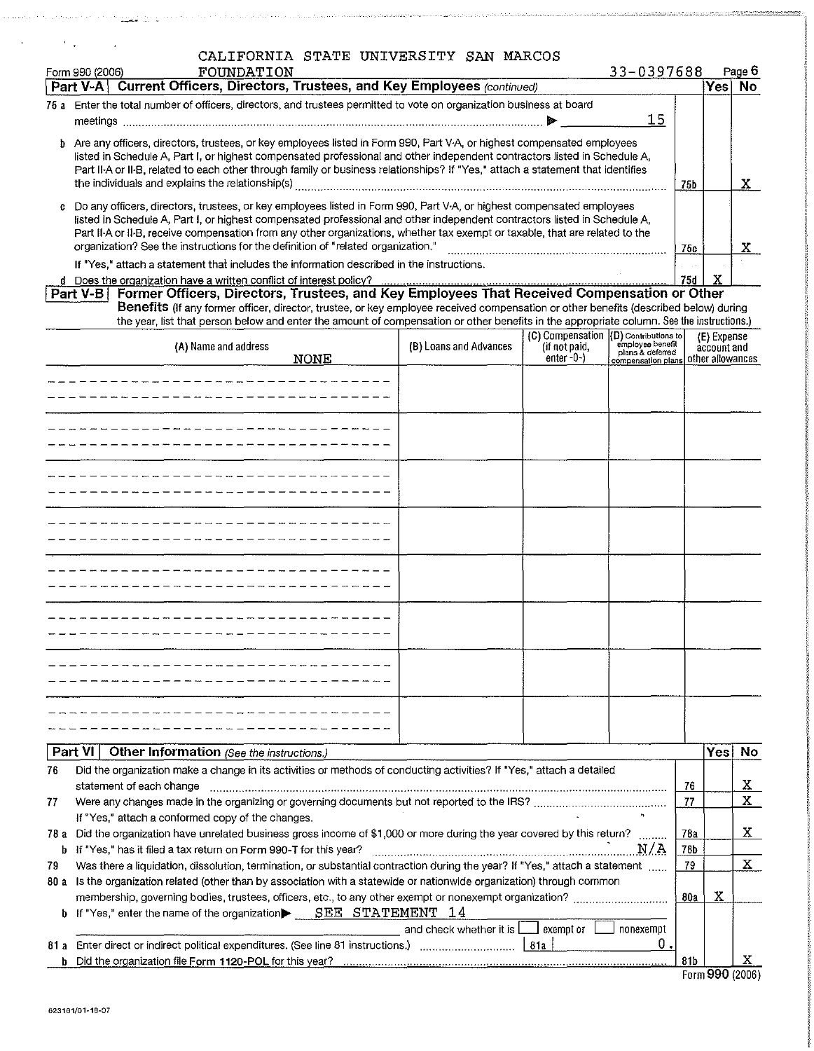|            | Form 990 (2006) | CALIFORNIA STATE UNIVERSITY SAN MARCOS<br>FOUNDATION                                                                                                                                                                                                         |                                                                                   |                                       | 33-0397688                           |            |                  | Page 6    |
|------------|-----------------|--------------------------------------------------------------------------------------------------------------------------------------------------------------------------------------------------------------------------------------------------------------|-----------------------------------------------------------------------------------|---------------------------------------|--------------------------------------|------------|------------------|-----------|
|            | Part V-A        | <b>Current Officers, Directors, Trustees, and Key Employees (continued)</b>                                                                                                                                                                                  |                                                                                   |                                       |                                      |            | Yes              | <b>No</b> |
|            |                 | 75 a Enter the total number of officers, directors, and trustees permitted to vote on organization business at board                                                                                                                                         |                                                                                   |                                       |                                      |            |                  |           |
|            |                 |                                                                                                                                                                                                                                                              |                                                                                   |                                       | 15                                   |            |                  |           |
|            |                 | b Are any officers, directors, trustees, or key employees listed in Form 990, Part V-A, or highest compensated employees                                                                                                                                     |                                                                                   |                                       |                                      |            |                  |           |
|            |                 | listed in Schedule A, Part I, or highest compensated professional and other independent contractors listed in Schedule A,<br>Part II A or II B, related to each other through family or business relationships? If "Yes," attach a statement that identifies |                                                                                   |                                       |                                      |            |                  |           |
|            |                 | the individuals and explains the relationship(s)                                                                                                                                                                                                             |                                                                                   |                                       |                                      | 75b        |                  | X.        |
|            |                 | Do any officers, directors, trustees, or key employees listed in Form 990, Part V-A, or highest compensated employees                                                                                                                                        |                                                                                   |                                       |                                      |            |                  |           |
|            |                 | listed in Schedule A, Part I, or highest compensated professional and other independent contractors listed in Schedule A,                                                                                                                                    |                                                                                   |                                       |                                      |            |                  |           |
|            |                 | Part II A or II B, receive compensation from any other organizations, whether tax exempt or taxable, that are related to the                                                                                                                                 |                                                                                   |                                       |                                      |            |                  |           |
|            |                 | organization? See the instructions for the definition of "related organization."                                                                                                                                                                             |                                                                                   |                                       |                                      | 75c        |                  | X.        |
|            |                 | If "Yes," attach a statement that includes the information described in the instructions.<br>d Does the organization have a written conflict of interest policy?                                                                                             |                                                                                   |                                       |                                      | <b>75d</b> | x                |           |
|            |                 |                                                                                                                                                                                                                                                              |                                                                                   |                                       |                                      |            |                  |           |
|            |                 | Benefits (If any former officer, director, trustee, or key employee received compensation or other benefits (described below) during                                                                                                                         |                                                                                   |                                       |                                      |            |                  |           |
|            |                 | the year, list that person below and enter the amount of compensation or other benefits in the appropriate column. See the instructions.)                                                                                                                    |                                                                                   | (C) Compensation (D) Contributions to |                                      |            | (E) Expense      |           |
|            |                 | (A) Name and address                                                                                                                                                                                                                                         | (B) Loans and Advances                                                            | (if not paid,                         | employee benefit<br>plans & deferred |            | account and      |           |
|            |                 | <b>NONE</b>                                                                                                                                                                                                                                                  |                                                                                   | $enter -0-$                           | compensation plans                   |            | other allowances |           |
|            |                 |                                                                                                                                                                                                                                                              |                                                                                   |                                       |                                      |            |                  |           |
|            |                 |                                                                                                                                                                                                                                                              |                                                                                   |                                       |                                      |            |                  |           |
|            |                 |                                                                                                                                                                                                                                                              |                                                                                   |                                       |                                      |            |                  |           |
|            |                 |                                                                                                                                                                                                                                                              |                                                                                   |                                       |                                      |            |                  |           |
|            |                 |                                                                                                                                                                                                                                                              |                                                                                   |                                       |                                      |            |                  |           |
|            |                 |                                                                                                                                                                                                                                                              |                                                                                   |                                       |                                      |            |                  |           |
|            |                 |                                                                                                                                                                                                                                                              |                                                                                   |                                       |                                      |            |                  |           |
|            |                 |                                                                                                                                                                                                                                                              |                                                                                   |                                       |                                      |            |                  |           |
|            |                 |                                                                                                                                                                                                                                                              |                                                                                   |                                       |                                      |            |                  |           |
|            |                 |                                                                                                                                                                                                                                                              |                                                                                   |                                       |                                      |            |                  |           |
|            |                 |                                                                                                                                                                                                                                                              |                                                                                   |                                       |                                      |            |                  |           |
|            |                 |                                                                                                                                                                                                                                                              |                                                                                   |                                       |                                      |            |                  |           |
|            |                 |                                                                                                                                                                                                                                                              |                                                                                   |                                       |                                      |            |                  |           |
|            |                 |                                                                                                                                                                                                                                                              |                                                                                   |                                       |                                      |            |                  |           |
|            |                 |                                                                                                                                                                                                                                                              |                                                                                   |                                       |                                      |            |                  |           |
|            |                 |                                                                                                                                                                                                                                                              |                                                                                   |                                       |                                      |            |                  |           |
|            |                 |                                                                                                                                                                                                                                                              |                                                                                   |                                       |                                      |            |                  |           |
|            |                 |                                                                                                                                                                                                                                                              |                                                                                   |                                       |                                      |            |                  |           |
|            |                 |                                                                                                                                                                                                                                                              |                                                                                   |                                       |                                      |            |                  |           |
|            | Part VI         |                                                                                                                                                                                                                                                              |                                                                                   |                                       |                                      |            | Yes              | No        |
| 76         |                 | Other Information (See the instructions.)<br>Did the organization make a change in its activities or methods of conducting activities? If "Yes," attach a detailed                                                                                           |                                                                                   |                                       |                                      |            |                  |           |
|            |                 | statement of each change                                                                                                                                                                                                                                     |                                                                                   |                                       |                                      | 76         |                  | X         |
| 77         |                 |                                                                                                                                                                                                                                                              |                                                                                   |                                       |                                      | 77         |                  | Χ         |
|            |                 | If "Yes," attach a conformed copy of the changes.                                                                                                                                                                                                            |                                                                                   |                                       |                                      |            |                  |           |
|            |                 | 78 a Did the organization have unrelated business gross income of \$1,000 or more during the year covered by this return?                                                                                                                                    |                                                                                   |                                       |                                      | 78a        |                  | Χ         |
| b.         |                 | If "Yes," has it filed a tax return on Form 990-T for this year?                                                                                                                                                                                             |                                                                                   |                                       | N/A                                  | 78b        |                  | X         |
| 79<br>80 a |                 | Was there a liquidation, dissolution, termination, or substantial contraction during the year? If "Yes," attach a statement<br>Is the organization related (other than by association with a statewide or nationwide organization) through common            |                                                                                   |                                       |                                      | 79         |                  |           |
|            |                 |                                                                                                                                                                                                                                                              |                                                                                   |                                       |                                      | 80a        | x                |           |
| b          |                 | If "Yes," enter the name of the organization $\blacktriangleright$ SEE STATEMENT 14                                                                                                                                                                          |                                                                                   |                                       |                                      |            |                  |           |
|            |                 |                                                                                                                                                                                                                                                              | and check whether it is $\lfloor \cdot \rfloor$ exempt or $\lfloor \cdot \rfloor$ |                                       | nonexempt                            |            |                  |           |
| 81 а       |                 | [81a] Enter direct or indirect political expenditures. (See line 81 instructions.) [2016] [2016] [2016] [2016]                                                                                                                                               |                                                                                   |                                       | 0.                                   |            |                  |           |
| b.         |                 |                                                                                                                                                                                                                                                              |                                                                                   |                                       |                                      | 81b        | Form 990 (2006)  | x         |
|            |                 |                                                                                                                                                                                                                                                              |                                                                                   |                                       |                                      |            |                  |           |

candelle different le compositor de la compositor de la comunación de la comunicación de la constitución de la

 $\mathbf{r}$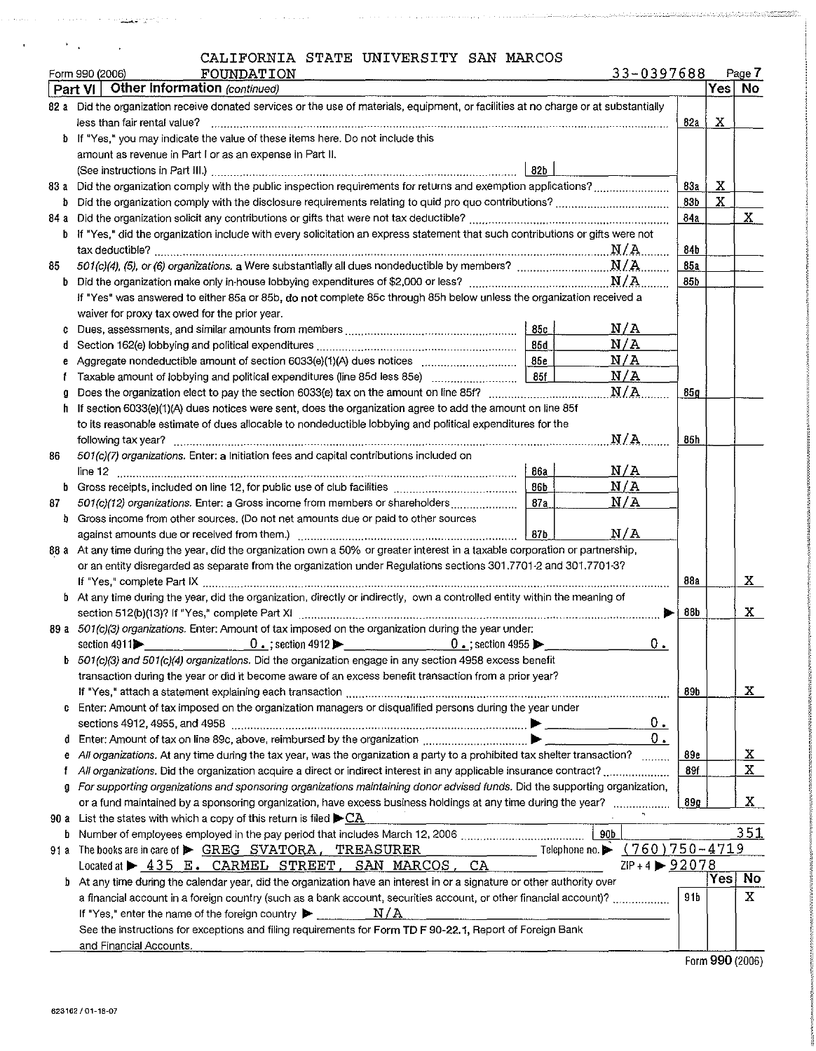$\gamma$  , and the contribution of the property in the same paper of the contribution of  $\gamma$ 

 $\label{eq:convergence} \mathcal{L}(\mathcal{A},\mathcal{A}) = \mathcal{L}(\mathcal{A}) \mathcal{L}(\mathcal{A}) = \mathcal{L}(\mathcal{A}) \mathcal{L}(\mathcal{A}) \mathcal{L}(\mathcal{A}) \mathcal{L}(\mathcal{A}) = \mathcal{L}(\mathcal{A}) \mathcal{L}(\mathcal{A}) \mathcal{L}(\mathcal{A}) \mathcal{L}(\mathcal{A}) \mathcal{L}(\mathcal{A}) \mathcal{L}(\mathcal{A}) \mathcal{L}(\mathcal{A}) \mathcal{L}(\mathcal{A}) \mathcal{L}(\mathcal{A}) \mathcal{L}(\mathcal{A$ 

 $\mathcal{H}^{\mathcal{A}}(\mathcal{A})$  and  $\mathcal{H}^{\mathcal{A}}(\mathcal{A})$  and  $\mathcal{H}^{\mathcal{A}}(\mathcal{A})$ 

|  |  |  | 33-0397688 |  | Page |
|--|--|--|------------|--|------|
|--|--|--|------------|--|------|

|      | 33-0397688<br>Form 990 (2006)<br>FOUNDATION                                                                                           |      |   | Page 7       |  |  |  |  |  |
|------|---------------------------------------------------------------------------------------------------------------------------------------|------|---|--------------|--|--|--|--|--|
|      | Other Information (continued)<br>Part VI                                                                                              |      |   | Yes No       |  |  |  |  |  |
|      | 82 a Did the organization receive donated services or the use of materials, equipment, or facilities at no charge or at substantially |      |   |              |  |  |  |  |  |
|      | less than fair rental value?                                                                                                          | 82a  | X |              |  |  |  |  |  |
|      | b If "Yes," you may indicate the value of these items here. Do not include this                                                       |      |   |              |  |  |  |  |  |
|      | amount as revenue in Part I or as an expense in Part II.                                                                              |      |   |              |  |  |  |  |  |
|      | 82 <sub>b</sub>                                                                                                                       |      |   |              |  |  |  |  |  |
|      |                                                                                                                                       |      |   |              |  |  |  |  |  |
| Þ    |                                                                                                                                       |      |   |              |  |  |  |  |  |
| 84 a |                                                                                                                                       | 84a  |   | $\mathbf{x}$ |  |  |  |  |  |
|      | If "Yes," did the organization include with every solicitation an express statement that such contributions or gifts were not         |      |   |              |  |  |  |  |  |
|      |                                                                                                                                       | 84b  |   |              |  |  |  |  |  |
| 85   |                                                                                                                                       | 85a  |   |              |  |  |  |  |  |
| b    |                                                                                                                                       | 85b  |   |              |  |  |  |  |  |
|      | If "Yes" was answered to either 85a or 85b, do not complete 85c through 85h below unless the organization received a                  |      |   |              |  |  |  |  |  |
|      | waiver for proxy tax owed for the prior year.                                                                                         |      |   |              |  |  |  |  |  |
| c    | N/A<br> 85c                                                                                                                           |      |   |              |  |  |  |  |  |
|      | N/A<br>85d<br>Section 162(e) lobbying and political expenditures <i>manual communical content</i> contents and political expenditures |      |   |              |  |  |  |  |  |
|      | N/A                                                                                                                                   |      |   |              |  |  |  |  |  |
|      | N/A<br>85f                                                                                                                            |      |   |              |  |  |  |  |  |
|      | N/A                                                                                                                                   | .85g |   |              |  |  |  |  |  |
| h.   | If section 6033(e)(1)(A) dues notices were sent, does the organization agree to add the amount on line 85f                            |      |   |              |  |  |  |  |  |
|      | to its reasonable estimate of dues allocable to nondeductible lobbying and political expenditures for the                             |      |   |              |  |  |  |  |  |
|      | N/A<br>following tax year?                                                                                                            | 85h  |   |              |  |  |  |  |  |
| 86   | 501(c)(7) organizations. Enter: a Initiation fees and capital contributions included on                                               |      |   |              |  |  |  |  |  |
|      | N/A<br>86a<br>line 12                                                                                                                 |      |   |              |  |  |  |  |  |
| b.   | N/A<br>86b                                                                                                                            |      |   |              |  |  |  |  |  |
| 87   | N/A<br>501(c)(12) organizations. Enter: a Gross income from members or shareholders<br>87a                                            |      |   |              |  |  |  |  |  |
| b.   | Gross income from other sources. (Do not net amounts due or paid to other sources                                                     |      |   |              |  |  |  |  |  |
|      | N/A<br>87 <sub>b</sub>                                                                                                                |      |   |              |  |  |  |  |  |
|      | 88 a At any time during the year, did the organization own a 50% or greater interest in a taxable corporation or partnership,         |      |   |              |  |  |  |  |  |
|      | or an entity disregarded as separate from the organization under Regulations sections 301.7701-2 and 301.7701-3?                      |      |   |              |  |  |  |  |  |
|      |                                                                                                                                       | 88a  |   | X            |  |  |  |  |  |
|      | b At any time during the year, did the organization, directly or indirectly, own a controlled entity within the meaning of            |      |   |              |  |  |  |  |  |
|      |                                                                                                                                       | 88b  |   | X            |  |  |  |  |  |
|      | 89 a 501(c)(3) organizations. Enter: Amount of tax imposed on the organization during the year under:                                 |      |   |              |  |  |  |  |  |
|      | $0$ .<br>section 4911                                                                                                                 |      |   |              |  |  |  |  |  |
|      | b 501(c)(3) and 501(c)(4) organizations. Did the organization engage in any section 4958 excess benefit                               |      |   |              |  |  |  |  |  |
|      | transaction during the year or did it become aware of an excess benefit transaction from a prior year?                                |      |   |              |  |  |  |  |  |
|      |                                                                                                                                       | 89b  |   | X            |  |  |  |  |  |
| C    | Enter: Amount of tax imposed on the organization managers or disqualified persons during the year under                               |      |   |              |  |  |  |  |  |
|      | 0.                                                                                                                                    |      |   |              |  |  |  |  |  |
| đ    | 0.1<br>Enter: Amount of tax on line 89c, above, reimbursed by the organization $\ldots$ $\blacksquare$                                |      |   |              |  |  |  |  |  |
| е    | All organizations. At any time during the tax year, was the organization a party to a prohibited tax shelter transaction?             | 89e  |   | <u>x</u>     |  |  |  |  |  |
| f    | All organizations. Did the organization acquire a direct or indirect interest in any applicable insurance contract?                   | 89f  |   | X            |  |  |  |  |  |
| g    | For supporting organizations and sponsoring organizations maintaining donor advised funds. Did the supporting organization,           |      |   |              |  |  |  |  |  |
|      | or a fund maintained by a sponsoring organization, have excess business holdings at any time during the year?                         | 89g  |   | X            |  |  |  |  |  |
|      | 90 a List the states with which a copy of this return is filed $\blacktriangleright$ CA                                               |      |   |              |  |  |  |  |  |
| b    | 90 <sub>b</sub>                                                                                                                       |      |   | 351          |  |  |  |  |  |
|      | Telephone no. ▶ (760)750-4719<br>91 a The books are in care of SCREG SVATORA, TREASURER                                               |      |   |              |  |  |  |  |  |
|      | $ZIP + 4$ $\triangleright$ 92078<br>Located at $\triangleright$ 435 E. CARMEL STREET, SAN MARCOS,<br>CA                               |      |   |              |  |  |  |  |  |
|      | At any time during the calendar year, did the organization have an interest in or a signature or other authority over<br>Þ.           |      |   | Yes   No     |  |  |  |  |  |
|      | a financial account in a foreign country (such as a bank account, securities account, or other financial account)?                    | 91b  |   | х            |  |  |  |  |  |
|      | N/A                                                                                                                                   |      |   |              |  |  |  |  |  |
|      | See the instructions for exceptions and filing requirements for Form TD F 90-22.1, Report of Foreign Bank                             |      |   |              |  |  |  |  |  |
|      | and Financial Accounts.                                                                                                               |      |   |              |  |  |  |  |  |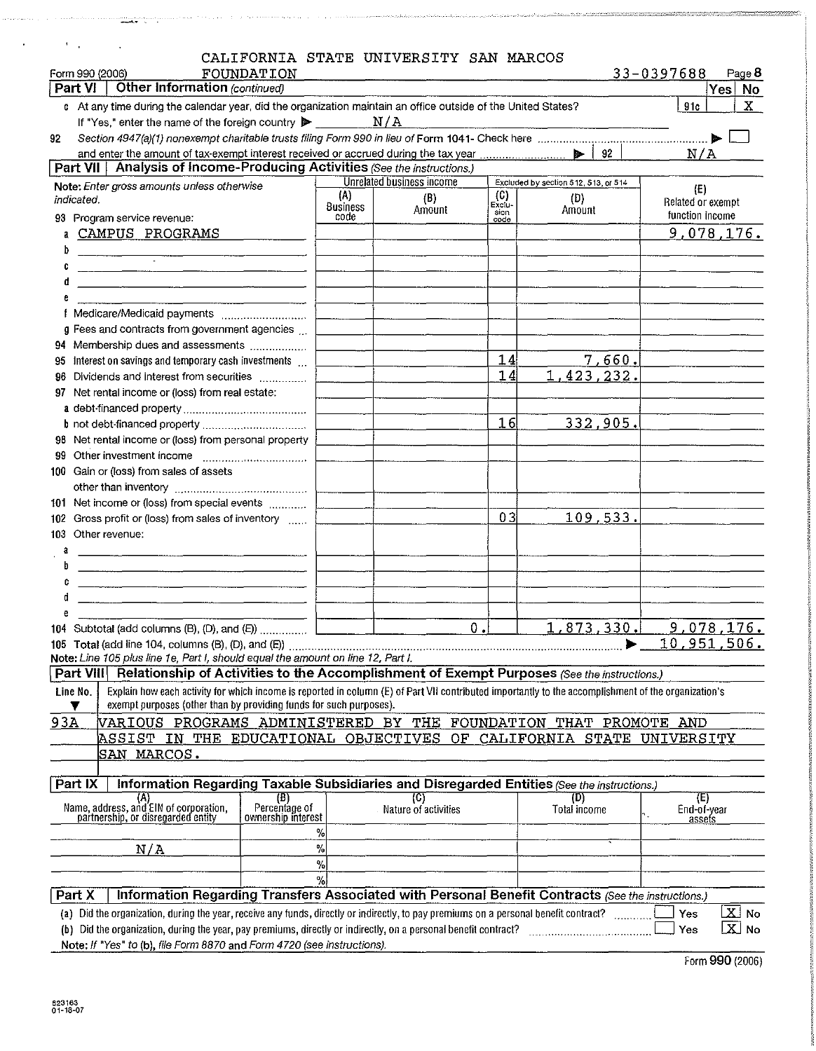| $\mathbb{R}^n$ .                                                                                                                                                                                                                            |                  | CALIFORNIA STATE UNIVERSITY SAN MARCOS |               |                                      |                          |                          |
|---------------------------------------------------------------------------------------------------------------------------------------------------------------------------------------------------------------------------------------------|------------------|----------------------------------------|---------------|--------------------------------------|--------------------------|--------------------------|
| FOUNDATION<br>Form 990 (2006)                                                                                                                                                                                                               |                  |                                        |               |                                      | 33-0397688               | Page 8                   |
| Other Information (continued)<br><b>Part VI</b>                                                                                                                                                                                             |                  |                                        |               |                                      |                          | Yes No                   |
| c At any time during the calendar year, did the organization maintain an office outside of the United States?                                                                                                                               |                  |                                        |               |                                      | 91c                      | х                        |
| If "Yes," enter the name of the foreign country $\blacktriangleright$                                                                                                                                                                       |                  | N/A                                    |               |                                      |                          |                          |
| 92                                                                                                                                                                                                                                          |                  |                                        |               |                                      | N/A                      |                          |
| Part VII   Analysis of Income-Producing Activities (See the instructions.)                                                                                                                                                                  |                  |                                        |               |                                      |                          |                          |
| Note: Enter gross amounts unless otherwise                                                                                                                                                                                                  |                  | <b>Unrelated business income</b>       |               | Excluded by section 512, 513, or 514 |                          |                          |
| indicated.                                                                                                                                                                                                                                  | (A)              | (B)                                    | (C)<br>Exclu- | (D)                                  | (E)<br>Related or exempt |                          |
| 93 Program service revenue:                                                                                                                                                                                                                 | Business<br>code | Amount                                 | sion<br>code  | Amount                               | function income          |                          |
| CAMPUS PROGRAMS                                                                                                                                                                                                                             |                  |                                        |               |                                      | 9,078,176.               |                          |
|                                                                                                                                                                                                                                             |                  |                                        |               |                                      |                          |                          |
| <u> 1980 - Januar Amerikaanse kommunister († 1900)</u>                                                                                                                                                                                      |                  |                                        |               |                                      |                          |                          |
|                                                                                                                                                                                                                                             |                  |                                        |               |                                      |                          |                          |
|                                                                                                                                                                                                                                             |                  |                                        |               |                                      |                          |                          |
| f Medicare/Medicaid payments                                                                                                                                                                                                                |                  |                                        |               |                                      |                          |                          |
| g Fees and contracts from government agencies                                                                                                                                                                                               |                  |                                        |               |                                      |                          |                          |
| 94 Membership dues and assessments<br>95 Interest on savings and temporary cash investments                                                                                                                                                 |                  |                                        | 14            | 7,660.                               |                          |                          |
| 96 Dividends and interest from securities                                                                                                                                                                                                   |                  |                                        | 14            | 1,423,232.                           |                          |                          |
| 97 Net rental income or (loss) from real estate:                                                                                                                                                                                            |                  |                                        |               |                                      |                          |                          |
|                                                                                                                                                                                                                                             |                  |                                        |               |                                      |                          |                          |
|                                                                                                                                                                                                                                             |                  |                                        | 16            | 332,905.                             |                          |                          |
| 98 Net rental income or (loss) from personal property                                                                                                                                                                                       |                  |                                        |               |                                      |                          |                          |
|                                                                                                                                                                                                                                             |                  |                                        |               |                                      |                          |                          |
| 100 Gain or (loss) from sales of assets                                                                                                                                                                                                     |                  |                                        |               |                                      |                          |                          |
|                                                                                                                                                                                                                                             |                  |                                        |               |                                      |                          |                          |
| 101 Net income or (loss) from special events                                                                                                                                                                                                |                  |                                        |               |                                      |                          |                          |
| 102 Gross profit or (loss) from sales of inventory                                                                                                                                                                                          |                  |                                        | 03            | 109,533.                             |                          |                          |
| 103 Other revenue:                                                                                                                                                                                                                          |                  |                                        |               |                                      |                          |                          |
| a                                                                                                                                                                                                                                           |                  |                                        |               |                                      |                          |                          |
|                                                                                                                                                                                                                                             |                  |                                        |               |                                      |                          |                          |
|                                                                                                                                                                                                                                             |                  |                                        |               |                                      |                          |                          |
|                                                                                                                                                                                                                                             |                  |                                        |               |                                      |                          |                          |
|                                                                                                                                                                                                                                             |                  | $0 \cdot 1$                            |               | 1,873,<br>330.                       | 9,078,176.               |                          |
| 105 Total (add line 104, columns $(B)$ , $(D)$ , and $(E)$ )                                                                                                                                                                                |                  |                                        |               |                                      | 10,951,506.              |                          |
| Note: Line 105 plus line 1e, Part I, should equal the amount on line 12, Part I.<br>Part VIII Relationship of Activities to the Accomplishment of Exempt Purposes (See the instructions.)                                                   |                  |                                        |               |                                      |                          |                          |
|                                                                                                                                                                                                                                             |                  |                                        |               |                                      |                          |                          |
| Explain how each activity for which income is reported in column (E) of Part VII contributed importantly to the accomplishment of the organization's<br>Line No.<br>exempt purposes (other than by providing funds for such purposes).<br>▼ |                  |                                        |               |                                      |                          |                          |
| 93A<br>VARIOUS PROGRAMS ADMINISTERED BY THE FOUNDATION THAT PROMOTE AND                                                                                                                                                                     |                  |                                        |               |                                      |                          |                          |
| ASSIST IN THE EDUCATIONAL OBJECTIVES OF CALIFORNIA STATE UNIVERSITY                                                                                                                                                                         |                  |                                        |               |                                      |                          |                          |
| SAN MARCOS.                                                                                                                                                                                                                                 |                  |                                        |               |                                      |                          |                          |
|                                                                                                                                                                                                                                             |                  |                                        |               |                                      |                          |                          |
| Information Regarding Taxable Subsidiaries and Disregarded Entities (See the instructions.)<br>Part IX                                                                                                                                      |                  |                                        |               |                                      |                          |                          |
| $(B)$<br>Percentage of<br>Name, address, and EIN of corporation,<br>partnership, or disregarded entity                                                                                                                                      |                  | (C)<br>Nature of activities            |               | (D)<br>Total income                  | (E)                      |                          |
| ownership interest                                                                                                                                                                                                                          |                  |                                        |               |                                      | End-of-year<br>assets    |                          |
|                                                                                                                                                                                                                                             | ℅                |                                        |               |                                      |                          |                          |
| N/A                                                                                                                                                                                                                                         | $\%$<br>$\%$     |                                        |               |                                      |                          |                          |
|                                                                                                                                                                                                                                             | %                |                                        |               |                                      |                          |                          |
| Information Regarding Transfers Associated with Personal Benefit Contracts (See the instructions.)<br>Part X                                                                                                                                |                  |                                        |               |                                      |                          |                          |
| (a) Did the organization, during the year, receive any funds, directly or indirectly, to pay premiums on a personal benefit contract?                                                                                                       |                  |                                        |               |                                      | <b>Yes</b>               | $\overline{\text{X}}$ No |
| (b) Did the organization, during the year, pay premiums, directly or indirectly, on a personal benefit contract?                                                                                                                            |                  |                                        |               |                                      | Yes                      | $\boxed{\mathbf{X}}$ No  |
| Note: If "Yes" to (b), file Form 8870 and Form 4720 (see instructions).                                                                                                                                                                     |                  |                                        |               |                                      |                          |                          |

| Form 990 (2006) |
|-----------------|
|-----------------|

د د د د د د د د د د د.<br>اب از افغانستان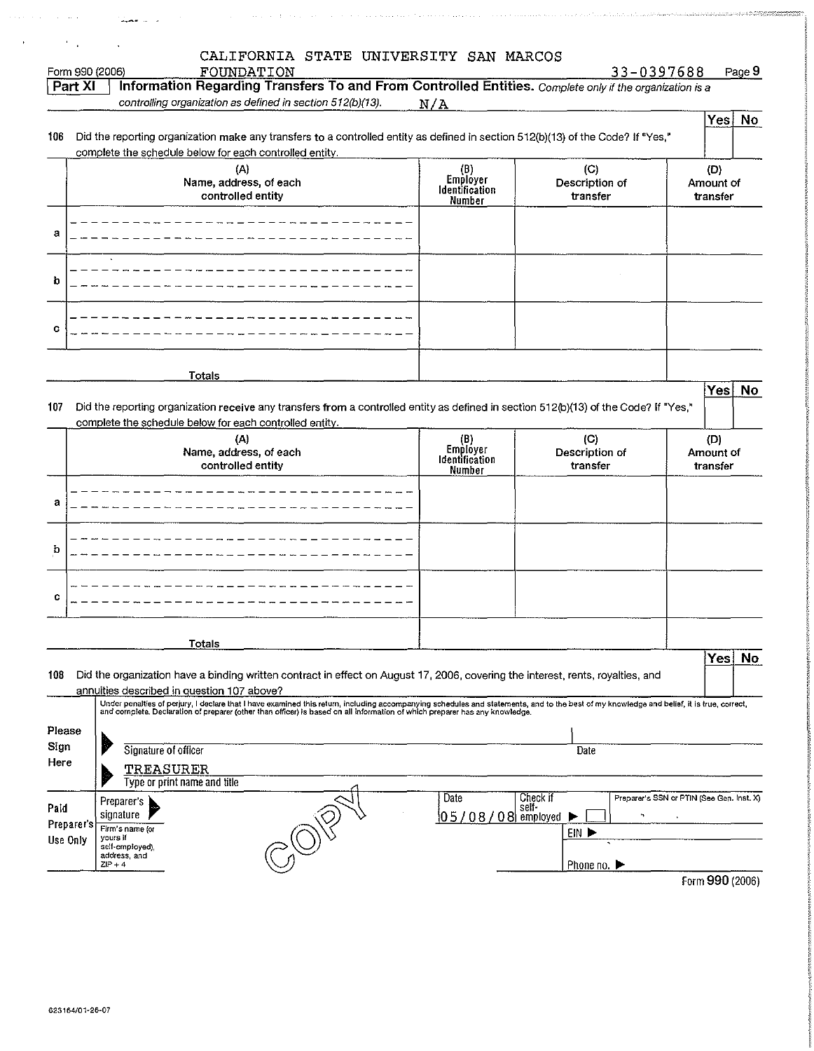| Form 990 (2006)                              | CALIFORNIA STATE UNIVERSITY SAN MARCOS<br>FOUNDATION                                                                                                                                                                                                                                                                     |                                             |                                              | 33-0397688<br>Page 9                      |
|----------------------------------------------|--------------------------------------------------------------------------------------------------------------------------------------------------------------------------------------------------------------------------------------------------------------------------------------------------------------------------|---------------------------------------------|----------------------------------------------|-------------------------------------------|
| Part XI                                      | Information Regarding Transfers To and From Controlled Entities. Complete only if the organization is a                                                                                                                                                                                                                  |                                             |                                              |                                           |
|                                              | controlling organization as defined in section 512(b)(13).                                                                                                                                                                                                                                                               | N/A                                         |                                              |                                           |
| 106                                          | Did the reporting organization make any transfers to a controlled entity as defined in section 512(b)(13) of the Code? If "Yes,"<br>complete the schedule below for each controlled entity.                                                                                                                              |                                             |                                              | $\mathsf{Yes}  $<br><b>No</b>             |
|                                              | (A)<br>Name, address, of each<br>controlled entity                                                                                                                                                                                                                                                                       | (B)<br>Employer<br>Identification<br>Number | (C)<br>Description of<br>transfer            | (D)<br>Amount of<br>transfer              |
| а                                            |                                                                                                                                                                                                                                                                                                                          |                                             |                                              |                                           |
| b                                            |                                                                                                                                                                                                                                                                                                                          |                                             |                                              |                                           |
| с                                            |                                                                                                                                                                                                                                                                                                                          |                                             |                                              |                                           |
|                                              | <b>Totals</b>                                                                                                                                                                                                                                                                                                            |                                             |                                              | Yes<br>No                                 |
| 107                                          | Did the reporting organization receive any transfers from a controlled entity as defined in section 512(b)(13) of the Code? If "Yes,"<br>complete the schedule below for each controlled entity.                                                                                                                         |                                             |                                              |                                           |
|                                              | (A)<br>Name, address, of each<br>controlled entity                                                                                                                                                                                                                                                                       | (B)<br>Employer<br>Identification<br>Number | (C)<br>Description of<br>transfer            | (D)<br>Amount of<br>transfer              |
| а                                            |                                                                                                                                                                                                                                                                                                                          |                                             |                                              |                                           |
| b                                            |                                                                                                                                                                                                                                                                                                                          |                                             |                                              |                                           |
| c                                            |                                                                                                                                                                                                                                                                                                                          |                                             |                                              |                                           |
|                                              | <b>Totals</b>                                                                                                                                                                                                                                                                                                            |                                             |                                              | Yes                                       |
| 108                                          | Did the organization have a binding written contract in effect on August 17, 2006, covering the interest, rents, royalties, and<br>annuities described in question 107 above?                                                                                                                                            |                                             |                                              | No                                        |
|                                              | Under penalties of perjury, I declare that I have examined this return, including accompanying schedules and statements, and to the best of my knowledge and belief, it is true, correct,<br>and complete. Declaration of preparer (other than officer) is based on all information of which preparer has any knowledge. |                                             |                                              |                                           |
|                                              |                                                                                                                                                                                                                                                                                                                          |                                             | Date                                         |                                           |
|                                              | Signature of officer<br>TREASURER                                                                                                                                                                                                                                                                                        |                                             |                                              |                                           |
| Please<br>Sign<br>Here<br>Paid<br>Preparer's | Type or print name and title<br>Preparer's<br>signature                                                                                                                                                                                                                                                                  | Date<br>$[05/08/08]$ employed               | Check if<br>self-<br>$\mathbf{r}_\mathbf{t}$ | Preparer's SSN or PTIN (See Gen. Inst, X) |

 $\hat{z}_i$  , which is the same constant of the constant constant  $\hat{z}_i$ 

Form 990 (2006)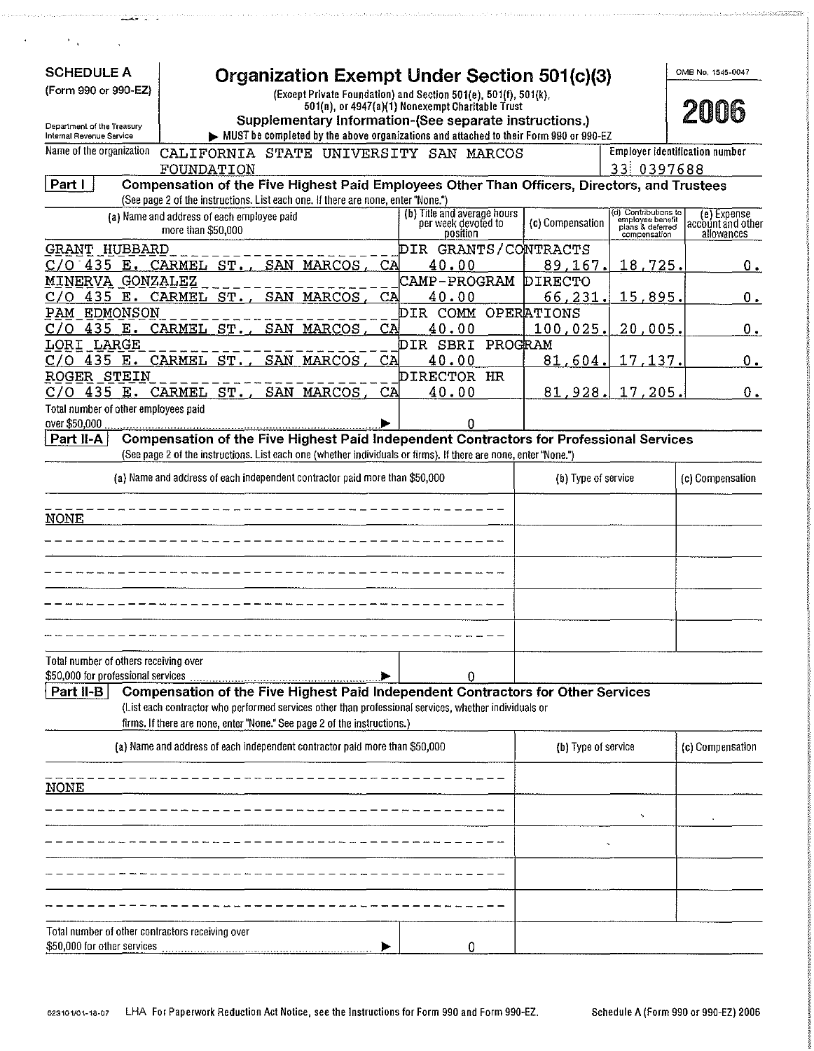| <b>SCHEDULE A</b>                                     | <b>Organization Exempt Under Section 501(c)(3)</b>                                                               |                                                                |                           |                                                                              | OMB No. 1545-0047                              |
|-------------------------------------------------------|------------------------------------------------------------------------------------------------------------------|----------------------------------------------------------------|---------------------------|------------------------------------------------------------------------------|------------------------------------------------|
| (Form 990 or 990-EZ)                                  | (Except Private Foundation) and Section 501(e), 501(f), 501(k),                                                  | 501(n), or 4947(a)(1) Nonexempt Charitable Trust               |                           |                                                                              |                                                |
| Department of the Treasury                            | Supplementary Information-(See separate instructions.)                                                           |                                                                |                           |                                                                              | 2006                                           |
| Internal Revenue Service<br>Name of the organization  | MUST be completed by the above organizations and attached to their Form 990 or 990-EZ                            |                                                                |                           | <b>Employer identification number</b>                                        |                                                |
|                                                       | CALIFORNIA STATE UNIVERSITY SAN MARCOS<br>FOUNDATION                                                             |                                                                |                           | 33 0397688                                                                   |                                                |
| Part I                                                | Compensation of the Five Highest Paid Employees Other Than Officers, Directors, and Trustees                     |                                                                |                           |                                                                              |                                                |
|                                                       | (See page 2 of the instructions. List each one. If there are none, enter "None.")                                |                                                                |                           |                                                                              |                                                |
|                                                       | (a) Name and address of each employee paid<br>more than \$50,000                                                 | (b) Title and average hours<br>per week devoted to<br>position | (c) Compensation          | (d) Contributions to<br>employee benefit<br>plans & deferred<br>compensation | (e) Expense<br>account and other<br>allowances |
| <b>GRANT HUBBARD</b>                                  |                                                                                                                  | DIR GRANTS/CONTRACTS                                           |                           |                                                                              |                                                |
| $C/O$ 435 E. CARMEL ST.,<br>MINERVA GONZALEZ          | SAN MARCOS,<br>CA                                                                                                | 40.00<br>CAMP-PROGRAM                                          | 89,167.<br><b>DIRECTO</b> | 18,725.                                                                      | $0_{\cdot}$                                    |
| C/O                                                   | 435 E. CARMEL ST.,<br>SAN<br>MARCOS<br>CA                                                                        | 40.00                                                          | 66,231.                   | 15,895.                                                                      | $0_{\cdot}$                                    |
| PAM EDMONSON                                          |                                                                                                                  | DIR COMM OPERATIONS                                            |                           |                                                                              |                                                |
| 435 E. CARMEL<br>C / O                                | ST.<br>SAN<br>CA<br>MARCOS                                                                                       | 40.00                                                          | 100,025                   | 20,005.                                                                      | $0_{\pm}$                                      |
| LORI LARGE                                            |                                                                                                                  | DIR SBRI PROGRAM                                               |                           |                                                                              |                                                |
| C / O                                                 | 435 E. CARMEL ST.,<br>SAN MARCOS<br>CA                                                                           | 40.00                                                          | 81,604.                   | 17,137.                                                                      | $0_{\cdot}$                                    |
| ROGER STEIN                                           |                                                                                                                  | DIRECTOR HR                                                    |                           |                                                                              |                                                |
| C/O                                                   | 435 E. CARMEL ST.,<br>SAN MARCOS<br>CA                                                                           | 40.00                                                          | 81,928.                   | 17,205.                                                                      | $0$ .                                          |
| Total number of other employees paid<br>over \$50,000 |                                                                                                                  | n                                                              |                           |                                                                              |                                                |
| Part II-A                                             | Compensation of the Five Highest Paid Independent Contractors for Professional Services                          |                                                                |                           |                                                                              |                                                |
|                                                       | (See page 2 of the instructions. List each one (whether individuals or firms), If there are none, enter "None.") |                                                                |                           |                                                                              |                                                |
|                                                       | (a) Name and address of each independent contractor paid more than \$50,000                                      |                                                                | (b) Type of service       |                                                                              | (c) Compensation                               |
|                                                       |                                                                                                                  |                                                                |                           |                                                                              |                                                |
| <b>NONE</b>                                           |                                                                                                                  |                                                                |                           |                                                                              |                                                |
|                                                       |                                                                                                                  |                                                                |                           |                                                                              |                                                |
|                                                       |                                                                                                                  |                                                                |                           |                                                                              |                                                |
|                                                       |                                                                                                                  |                                                                |                           |                                                                              |                                                |
|                                                       |                                                                                                                  |                                                                |                           |                                                                              |                                                |
|                                                       |                                                                                                                  |                                                                |                           |                                                                              |                                                |
|                                                       |                                                                                                                  |                                                                |                           |                                                                              |                                                |
|                                                       |                                                                                                                  |                                                                |                           |                                                                              |                                                |
| Total number of others receiving over                 |                                                                                                                  |                                                                |                           |                                                                              |                                                |
| \$50,000 for professional services                    |                                                                                                                  | 0                                                              |                           |                                                                              |                                                |
| Part II-B                                             | Compensation of the Five Highest Paid Independent Contractors for Other Services                                 |                                                                |                           |                                                                              |                                                |
|                                                       | (List each contractor who performed services other than professional services, whether individuals or            |                                                                |                           |                                                                              |                                                |
|                                                       | firms. If there are none, enter "None." See page 2 of the instructions.)                                         |                                                                |                           |                                                                              |                                                |
|                                                       | (a) Name and address of each independent contractor paid more than \$50,000                                      |                                                                | (b) Type of service       |                                                                              | (c) Compensation                               |
|                                                       |                                                                                                                  |                                                                |                           |                                                                              |                                                |
| <b>NONE</b>                                           |                                                                                                                  |                                                                |                           |                                                                              |                                                |
|                                                       |                                                                                                                  |                                                                |                           |                                                                              |                                                |
|                                                       |                                                                                                                  |                                                                |                           |                                                                              |                                                |
|                                                       |                                                                                                                  |                                                                |                           |                                                                              |                                                |
|                                                       |                                                                                                                  |                                                                |                           |                                                                              |                                                |
|                                                       |                                                                                                                  |                                                                |                           |                                                                              |                                                |
|                                                       |                                                                                                                  |                                                                |                           |                                                                              |                                                |
|                                                       |                                                                                                                  |                                                                |                           |                                                                              |                                                |
| Total number of other contractors receiving over      |                                                                                                                  |                                                                |                           |                                                                              |                                                |
| \$50,000 for other services                           |                                                                                                                  | 0                                                              |                           |                                                                              |                                                |

meeters in a meter experiment of the contract of the contract of the state of the contract of the second contract of the contract of the contract of the contract of the contract of the contract of the contract of the contr

 $\ddot{\phantom{a}}$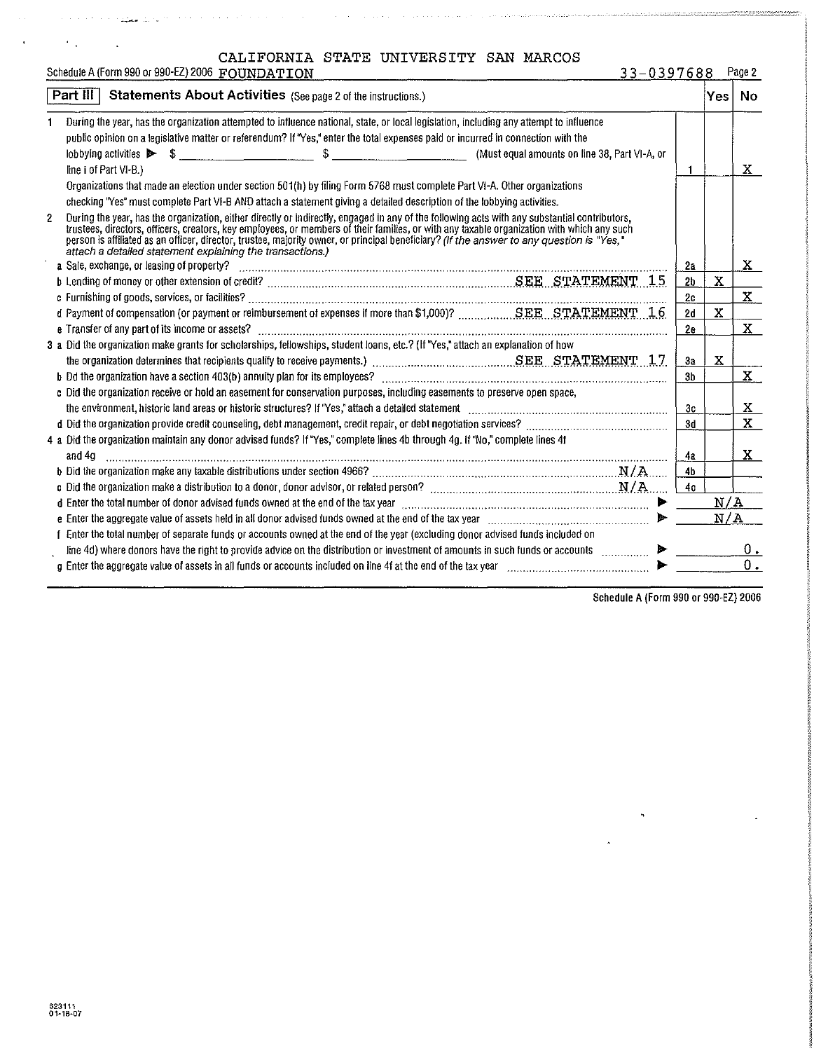| CALIFORNIA STATE UNIVERSITY SAN MARCOS |  |  |  |  |  |
|----------------------------------------|--|--|--|--|--|
|----------------------------------------|--|--|--|--|--|

|   | CAUILONNIA DIAID ONIVENDIII DAN BANCOD<br>Schedule A (Form 990 or 990-EZ) 2006 FOUNDATION<br>33-0397688                                                                                                                                                                                                                                                                                                                                                                                               |                |             | Page 2 |
|---|-------------------------------------------------------------------------------------------------------------------------------------------------------------------------------------------------------------------------------------------------------------------------------------------------------------------------------------------------------------------------------------------------------------------------------------------------------------------------------------------------------|----------------|-------------|--------|
|   | Statements About Activities (See page 2 of the instructions.)<br>Part $III$                                                                                                                                                                                                                                                                                                                                                                                                                           |                | Yes:        | No.    |
|   | During the year, has the organization attempted to influence national, state, or local legislation, including any attempt to influence<br>public opinion on a legislative matter or referendum? If "Yes," enter the total expenses paid or incurred in connection with the<br>(Must equal amounts on line 38, Part VI-A, or                                                                                                                                                                           |                |             |        |
|   | line i of Part VI-B.)                                                                                                                                                                                                                                                                                                                                                                                                                                                                                 |                |             | X      |
|   | Organizations that made an election under section 501(h) by filing Form 5768 must complete Part VI-A. Other organizations                                                                                                                                                                                                                                                                                                                                                                             |                |             |        |
|   | checking "Yes" must complete Part VI-B AND attach a statement giving a detailed description of the lobbying activities.                                                                                                                                                                                                                                                                                                                                                                               |                |             |        |
| 2 | During the year, has the organization, either directly or indirectly, engaged in any of the following acts with any substantial contributors,<br>trustees, directors, officers, creators, key employees, or members of their families, or with any taxable organization with which any such<br>person is affiliated as an officer, director, trustee, majority owner, or principal beneficiary? (If the answer to any question is "Yes,"<br>attach a detailed statement explaining the transactions.) |                |             |        |
|   | a Sale, exchange, or leasing of property?                                                                                                                                                                                                                                                                                                                                                                                                                                                             | 2а             |             | X      |
|   | b Lending of money or other extension of credit? www.assett.com/www.assett.com/www.assett.com/www.assett.com/w                                                                                                                                                                                                                                                                                                                                                                                        | 2b             | $\mathbf X$ |        |
|   |                                                                                                                                                                                                                                                                                                                                                                                                                                                                                                       | 2c             |             | X.     |
|   |                                                                                                                                                                                                                                                                                                                                                                                                                                                                                                       | 2d             | X           |        |
|   |                                                                                                                                                                                                                                                                                                                                                                                                                                                                                                       | 2e             |             | X      |
|   | 3 a Did the organization make grants for scholarships, fellowships, student loans, etc.? (If "Yes," attach an explanation of how                                                                                                                                                                                                                                                                                                                                                                      |                |             |        |
|   |                                                                                                                                                                                                                                                                                                                                                                                                                                                                                                       | 3a             | $\mathbf x$ |        |
|   |                                                                                                                                                                                                                                                                                                                                                                                                                                                                                                       | 3 <sub>b</sub> |             | X      |
|   | c Did the organization receive or hold an easement for conservation purposes, including easements to preserve open space,                                                                                                                                                                                                                                                                                                                                                                             | 3c             |             | X      |
|   |                                                                                                                                                                                                                                                                                                                                                                                                                                                                                                       | 3d             |             | X      |
|   | 4 a Did the organization maintain any donor advised funds? If "Yes," complete lines 4b through 4g. If "No," complete lines 4f<br>and 4g                                                                                                                                                                                                                                                                                                                                                               | 4a             |             | x      |
|   | b Did the organization make any taxable distributions under section 4966? Material Communications and MAS                                                                                                                                                                                                                                                                                                                                                                                             | 4 <sub>b</sub> |             |        |
|   |                                                                                                                                                                                                                                                                                                                                                                                                                                                                                                       | 4с             |             |        |
|   | d Enter the total number of donor advised funds owned at the end of the tax year contained accommunication of the total number of donor advised funds owned at the end of the tax year.                                                                                                                                                                                                                                                                                                               |                | N/A         |        |
|   | e Enter the aggregate value of assets held in all donor advised funds owned at the end of the tax year [111] (111] (111] (111] (111] (111] (111] (111] (111] (111] (111] (111] (111] (111] (111] (111] (111] (111] (111] (111]                                                                                                                                                                                                                                                                        |                | N/A         |        |
|   | f Enter the total number of separate funds or accounts owned at the end of the year (excluding donor advised funds included on                                                                                                                                                                                                                                                                                                                                                                        |                |             |        |
|   | line 4d) where donors have the right to provide advice on the distribution or investment of amounts in such funds or accounts                                                                                                                                                                                                                                                                                                                                                                         |                |             | Ο.     |
|   | g Enter the aggregate value of assets in all funds or accounts included on line 4f at the end of the tax year                                                                                                                                                                                                                                                                                                                                                                                         |                |             | 0.     |

Schedule A (Form 990 or 990-EZ) 2006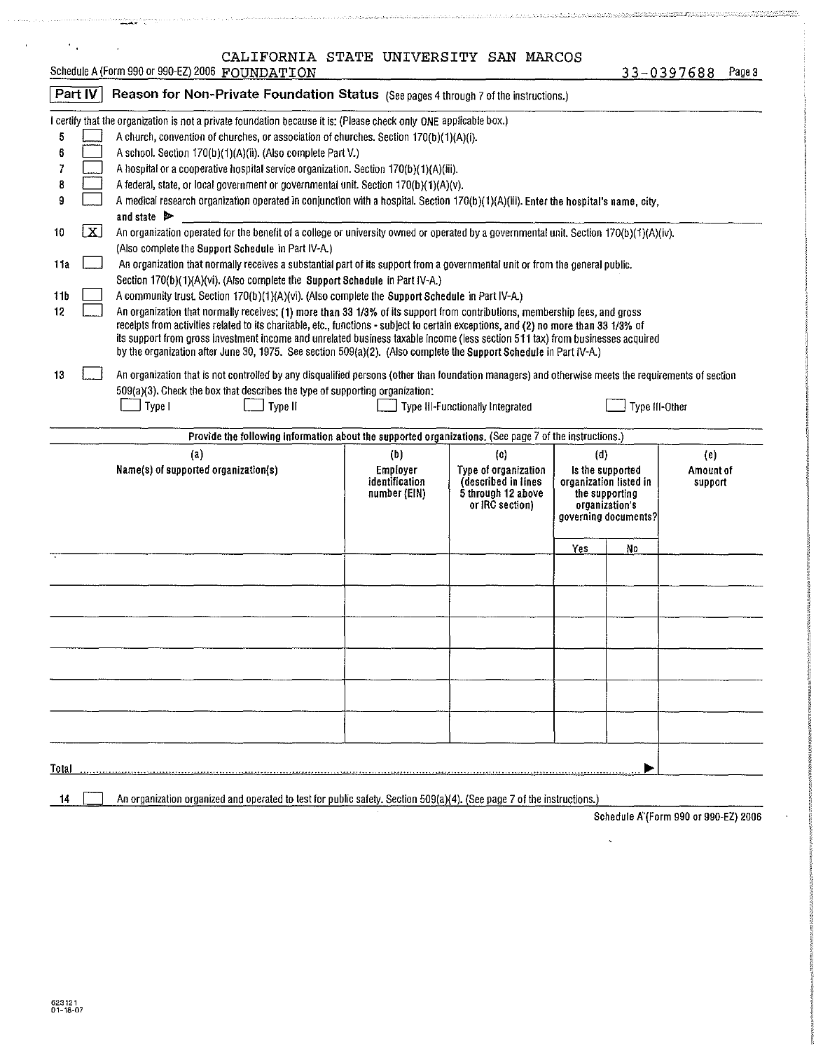| $\mathcal{F}_{\mathcal{A}}$ |                                                                                                                                                                                              | CALIFORNIA STATE UNIVERSITY SAN MARCOS                                                                                                                                                                                                               |                            |                                             |     |                                            |                      |        |  |  |  |
|-----------------------------|----------------------------------------------------------------------------------------------------------------------------------------------------------------------------------------------|------------------------------------------------------------------------------------------------------------------------------------------------------------------------------------------------------------------------------------------------------|----------------------------|---------------------------------------------|-----|--------------------------------------------|----------------------|--------|--|--|--|
|                             |                                                                                                                                                                                              | Schedule A (Form 990 or 990-EZ) 2006 FOUNDATION                                                                                                                                                                                                      |                            |                                             |     | $33 - 0397688$                             |                      | Page 3 |  |  |  |
|                             | Part IV                                                                                                                                                                                      | Reason for Non-Private Foundation Status (See pages 4 through 7 of the instructions.)                                                                                                                                                                |                            |                                             |     |                                            |                      |        |  |  |  |
|                             |                                                                                                                                                                                              | I certify that the organization is not a private foundation because it is: (Please check only ONE applicable box.)                                                                                                                                   |                            |                                             |     |                                            |                      |        |  |  |  |
| 5                           |                                                                                                                                                                                              | A church, convention of churches, or association of churches. Section 170(b)(1)(A)(i).                                                                                                                                                               |                            |                                             |     |                                            |                      |        |  |  |  |
| 6                           |                                                                                                                                                                                              | A school. Section 170(b)(1)(A)(ii). (Also complete Part V.)                                                                                                                                                                                          |                            |                                             |     |                                            |                      |        |  |  |  |
|                             |                                                                                                                                                                                              | A hospital or a cooperative hospital service organization. Section 170(b)(1)(A)(iii).                                                                                                                                                                |                            |                                             |     |                                            |                      |        |  |  |  |
| 8                           |                                                                                                                                                                                              | A federal, state, or local government or governmental unit. Section 170(b)(1)(A)(v).                                                                                                                                                                 |                            |                                             |     |                                            |                      |        |  |  |  |
| 9                           |                                                                                                                                                                                              | A medical research organization operated in conjunction with a hospital. Section 170(b)(1)(A)(iii). Enter the hospital's name, city,                                                                                                                 |                            |                                             |     |                                            |                      |        |  |  |  |
| 10                          | and state $\triangleright$<br>$\lfloor x \rfloor$<br>An organization operated for the benefit of a college or university owned or operated by a governmental unit. Section 170(b)(1)(A)(iv). |                                                                                                                                                                                                                                                      |                            |                                             |     |                                            |                      |        |  |  |  |
|                             |                                                                                                                                                                                              | (Also complete the Support Schedule in Part IV-A.)                                                                                                                                                                                                   |                            |                                             |     |                                            |                      |        |  |  |  |
| 1 i a                       |                                                                                                                                                                                              | An organization that normally receives a substantial part of its support from a governmental unit or from the general public.                                                                                                                        |                            |                                             |     |                                            |                      |        |  |  |  |
|                             |                                                                                                                                                                                              | Section 170(b)(1)(A)(vi). (Also complete the Support Schedule in Part IV-A.)                                                                                                                                                                         |                            |                                             |     |                                            |                      |        |  |  |  |
| 11b                         |                                                                                                                                                                                              | A community trust. Section 170(b)(1)(A)(vi). (Also complete the Support Schedule in Part IV-A.)                                                                                                                                                      |                            |                                             |     |                                            |                      |        |  |  |  |
| 12                          |                                                                                                                                                                                              | An organization that normally receives: (1) more than 33 1/3% of its support from contributions, membership fees, and gross                                                                                                                          |                            |                                             |     |                                            |                      |        |  |  |  |
|                             |                                                                                                                                                                                              | receipts from activities related to its charitable, etc., functions - subject to certain exceptions, and (2) no more than 33 1/3% of                                                                                                                 |                            |                                             |     |                                            |                      |        |  |  |  |
|                             |                                                                                                                                                                                              | its support from gross investment income and unrelated business taxable income (less section 511 tax) from businesses acquired<br>by the organization after June 30, 1975. See section 509(a)(2). (Also complete the Support Schedule in Part IV-A.) |                            |                                             |     |                                            |                      |        |  |  |  |
|                             |                                                                                                                                                                                              |                                                                                                                                                                                                                                                      |                            |                                             |     |                                            |                      |        |  |  |  |
| 13                          |                                                                                                                                                                                              | An organization that is not controlled by any disqualified persons (other than foundation managers) and otherwise meets the requirements of section                                                                                                  |                            |                                             |     |                                            |                      |        |  |  |  |
|                             | 509(a)(3). Check the box that describes the type of supporting organization:<br>Type I<br>Type II<br>Type III-Other<br>Type III-Functionally Integrated                                      |                                                                                                                                                                                                                                                      |                            |                                             |     |                                            |                      |        |  |  |  |
|                             |                                                                                                                                                                                              |                                                                                                                                                                                                                                                      |                            |                                             |     |                                            |                      |        |  |  |  |
|                             |                                                                                                                                                                                              | Provide the following information about the supported organizations. (See page 7 of the instructions.)                                                                                                                                               |                            |                                             |     |                                            |                      |        |  |  |  |
|                             |                                                                                                                                                                                              | $\left( a\right)$                                                                                                                                                                                                                                    | (b)                        | (c)                                         | (d) |                                            | (e)                  |        |  |  |  |
|                             |                                                                                                                                                                                              | Name(s) of supported organization(s)                                                                                                                                                                                                                 | Employer<br>identification | Type of organization<br>(described in lines |     | Is the supported<br>organization listed in | Amount of<br>support |        |  |  |  |
|                             |                                                                                                                                                                                              |                                                                                                                                                                                                                                                      | number (EIN)               | 5 through 12 above                          |     | the supporting                             |                      |        |  |  |  |
|                             |                                                                                                                                                                                              |                                                                                                                                                                                                                                                      |                            | or IRC section)                             |     | organization's<br>governing documents?     |                      |        |  |  |  |
|                             |                                                                                                                                                                                              |                                                                                                                                                                                                                                                      |                            |                                             |     |                                            |                      |        |  |  |  |
|                             |                                                                                                                                                                                              |                                                                                                                                                                                                                                                      |                            |                                             | Yes | No                                         |                      |        |  |  |  |
|                             |                                                                                                                                                                                              |                                                                                                                                                                                                                                                      |                            |                                             |     |                                            |                      |        |  |  |  |
|                             |                                                                                                                                                                                              |                                                                                                                                                                                                                                                      |                            |                                             |     |                                            |                      |        |  |  |  |
|                             |                                                                                                                                                                                              |                                                                                                                                                                                                                                                      |                            |                                             |     |                                            |                      |        |  |  |  |
|                             |                                                                                                                                                                                              |                                                                                                                                                                                                                                                      |                            |                                             |     |                                            |                      |        |  |  |  |
|                             |                                                                                                                                                                                              |                                                                                                                                                                                                                                                      |                            |                                             |     |                                            |                      |        |  |  |  |
|                             |                                                                                                                                                                                              |                                                                                                                                                                                                                                                      |                            |                                             |     |                                            |                      |        |  |  |  |
|                             |                                                                                                                                                                                              |                                                                                                                                                                                                                                                      |                            |                                             |     |                                            |                      |        |  |  |  |
|                             |                                                                                                                                                                                              |                                                                                                                                                                                                                                                      |                            |                                             |     |                                            |                      |        |  |  |  |
|                             |                                                                                                                                                                                              |                                                                                                                                                                                                                                                      |                            |                                             |     |                                            |                      |        |  |  |  |
|                             |                                                                                                                                                                                              |                                                                                                                                                                                                                                                      |                            |                                             |     |                                            |                      |        |  |  |  |
|                             |                                                                                                                                                                                              |                                                                                                                                                                                                                                                      |                            |                                             |     |                                            |                      |        |  |  |  |
|                             |                                                                                                                                                                                              |                                                                                                                                                                                                                                                      |                            |                                             |     |                                            |                      |        |  |  |  |
| Total                       |                                                                                                                                                                                              |                                                                                                                                                                                                                                                      |                            |                                             |     |                                            |                      |        |  |  |  |
| 14                          |                                                                                                                                                                                              | An organization organized and operated to test for public safety. Section 509(a)(4). (See page 7 of the instructions.)                                                                                                                               |                            |                                             |     |                                            |                      |        |  |  |  |
|                             |                                                                                                                                                                                              |                                                                                                                                                                                                                                                      |                            |                                             |     |                                            |                      |        |  |  |  |

Schedule fi"(Form 990 or 990-EZ) 2006

 $\bar{\mathbf{x}}$ 

 $\ddot{\phantom{a}}$ 

l,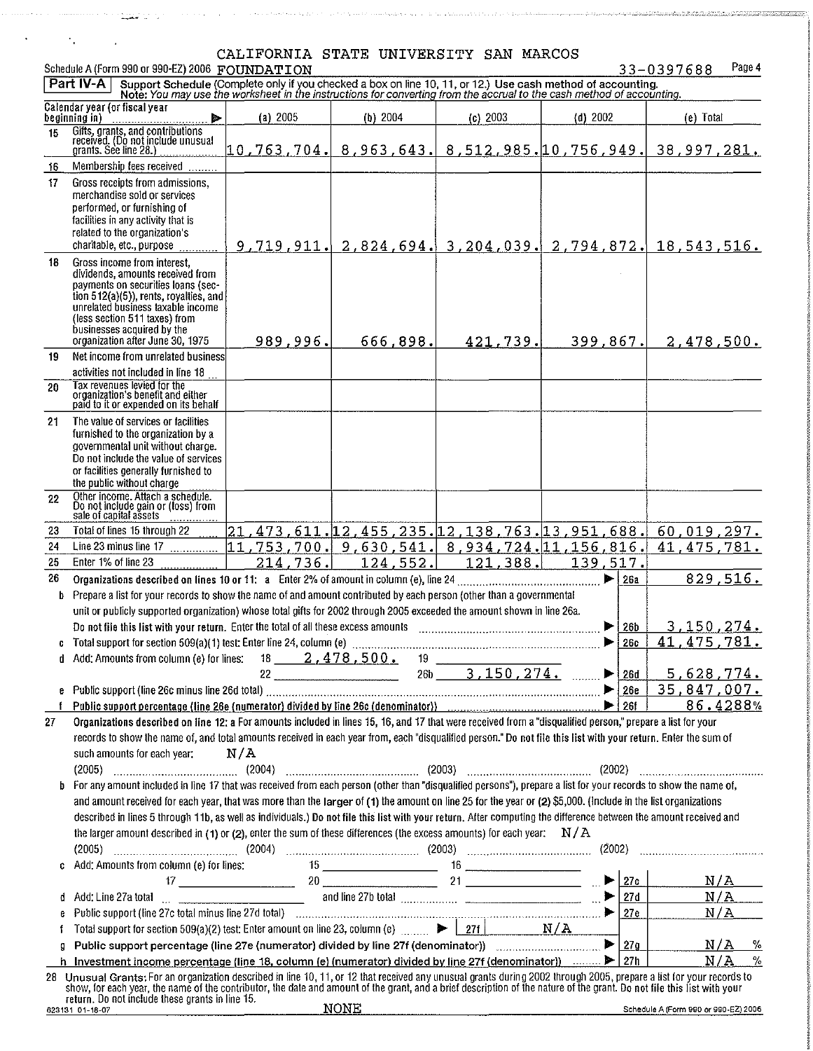and the second contract of the second construction of the contract of the complete of the construction of the contract of the contract of the contract of the contract of the contract of the contract of the contract of the

 $\mathcal{L}^{\mathcal{L}}$ 

 $\mathcal{A}_{\mathcal{A}}$  .

 $\mathcal{L}^{\mathcal{L}}$ 

 $33 - 0397688$ Page 4

CALIFORNIA STATE UNIVERSITY SAN MARCOS<br>Schedule A (Form 990 or 990-EZ) 2006 FOUNDATION<br>Part IV-A Support Schedule (Complete only if you checked a box on line 10, 11, or 12.) Use cash method of accounting.<br>Note: You may use

|        | Calendar year (or fiscal year<br>beginning in) <u></u>                                                                                                                                                                                                                                                                | (a) 2005   | (b) 2004                                      | (c) 2003                                       | $(d)$ 2002                                              | (e) Total                                                                                                                                     |
|--------|-----------------------------------------------------------------------------------------------------------------------------------------------------------------------------------------------------------------------------------------------------------------------------------------------------------------------|------------|-----------------------------------------------|------------------------------------------------|---------------------------------------------------------|-----------------------------------------------------------------------------------------------------------------------------------------------|
| 15     | Gifts, grants, and contributions<br>received. (Do not include unusual<br>grants. See line 28.)                                                                                                                                                                                                                        |            |                                               |                                                |                                                         | $\begin{smallmatrix} 10\ 10.763\ 1043\ 105\ \end{smallmatrix}$ 704 . 8, 963 . 643 . 8 , 512 , 985 . 10 , 756 , 949 . 38 , 997 , 2 <u>81 .</u> |
| 16     | Membership fees received                                                                                                                                                                                                                                                                                              |            |                                               |                                                |                                                         |                                                                                                                                               |
| 17     | Gross receipts from admissions,<br>merchandise sold or services<br>performed, or furnishing of<br>facilities in any activity that is<br>related to the organization's<br>charitable, etc., purpose                                                                                                                    | 9,719,911. |                                               |                                                |                                                         | $2,824,694.$ 3, 204, 039. $2,794,872.$ 18, 543, 516.                                                                                          |
| 18     | Gross income from interest,<br>dividends, amounts received from<br>payments on securities loans (sec-<br>tion 512(a)(5)), rents, royalties, and<br>unrelated business taxable income<br>(less section 511 taxes) from<br>businesses acquired by the<br>organization after June 30, 1975                               | 989,996.   | 666,898.                                      | 421,739.                                       | 399,867.                                                | 2,478,500.                                                                                                                                    |
| 19     | Net income from unrelated business<br>activities not included in line 18                                                                                                                                                                                                                                              |            |                                               |                                                |                                                         |                                                                                                                                               |
| 20     | Tax revenues levied for the<br>organization's benefit and either<br>paid to it or expended on its behalf                                                                                                                                                                                                              |            |                                               |                                                |                                                         |                                                                                                                                               |
| 21     | The value of services or facilities<br>furnished to the organization by a<br>governmental unit without charge.<br>Do not include the value of services<br>or facilities generally furnished to<br>the public without charge                                                                                           |            |                                               |                                                |                                                         |                                                                                                                                               |
| 22     | Other income. Attach a schedule.<br>Do not include gain or (loss) from<br>sale of capital assets                                                                                                                                                                                                                      |            |                                               |                                                |                                                         |                                                                                                                                               |
| 23     | Total of lines 15 through 22                                                                                                                                                                                                                                                                                          |            |                                               |                                                | 21, 473, 611, 12, 455, 235, 12, 138, 763, 13, 951, 688, | 60,019,297.                                                                                                                                   |
| 24     | Line 23 minus line 17                                                                                                                                                                                                                                                                                                 |            |                                               |                                                | $ 11,753,700 $ 9,630,541. 8,934,724. 11,156,816.        | 41, 475, 781.                                                                                                                                 |
| 25     | Enter 1% of line 23                                                                                                                                                                                                                                                                                                   | 214,736.   | 124,552.                                      | 121, 388.                                      | 139,517.                                                |                                                                                                                                               |
| 26     |                                                                                                                                                                                                                                                                                                                       |            |                                               |                                                | $\blacktriangleright$ $\vdash$<br>26a                   | 829,516.                                                                                                                                      |
| b      | Prepare a list for your records to show the name of and amount contributed by each person (other than a governmental                                                                                                                                                                                                  |            |                                               |                                                |                                                         |                                                                                                                                               |
|        | unit or publicly supported organization) whose total gifts for 2002 through 2005 exceeded the amount shown in line 26a.                                                                                                                                                                                               |            |                                               |                                                |                                                         |                                                                                                                                               |
|        | Do not file this list with your return. Enter the total of all these excess amounts                                                                                                                                                                                                                                   |            |                                               |                                                | ▶<br>26b<br>▶<br>26c                                    | <u>3,150,274.</u><br>41, 475, 781.                                                                                                            |
| d.     | Add: Amounts from column (e) for lines: 18 ______ 2,478,500.                                                                                                                                                                                                                                                          |            |                                               |                                                |                                                         |                                                                                                                                               |
|        |                                                                                                                                                                                                                                                                                                                       |            | $22 \qquad \qquad \overbrace{\qquad \qquad }$ | $19 \quad \qquad \qquad$<br>$26b$ 3, 150, 274. | $\blacktriangleright$ 26d                               | 5,628,774.                                                                                                                                    |
|        | e Public support (line 26c minus line 26d total)                                                                                                                                                                                                                                                                      |            |                                               |                                                |                                                         |                                                                                                                                               |
|        | Public support percentage (line 26e (numerator) divided by line 26c (denominator)) [10] [200] [200] [200] [201                                                                                                                                                                                                        |            |                                               |                                                |                                                         | 86.4288%                                                                                                                                      |
| 27     | Organizations described on line 12: a For amounts included in lines 15, 16, and 17 that were received from a "disqualified person," prepare a list for your                                                                                                                                                           |            |                                               |                                                |                                                         |                                                                                                                                               |
|        | records to show the name of, and total amounts received in each year from, each "disqualified person." Do not file this list with your return. Enter the sum of                                                                                                                                                       |            |                                               |                                                |                                                         |                                                                                                                                               |
|        | such amounts for each year:                                                                                                                                                                                                                                                                                           | N/A        |                                               |                                                |                                                         |                                                                                                                                               |
|        |                                                                                                                                                                                                                                                                                                                       |            |                                               |                                                |                                                         |                                                                                                                                               |
| b      | For any amount included in line 17 that was received from each person (other than "disqualified persons"), prepare a list for your records to show the name of,                                                                                                                                                       |            |                                               |                                                |                                                         |                                                                                                                                               |
|        | and amount received for each year, that was more than the larger of (1) the amount on line 25 for the year or (2) \$5,000. (Include in the list organizations                                                                                                                                                         |            |                                               |                                                |                                                         |                                                                                                                                               |
|        | described in lines 5 through 11b, as well as individuals.) Do not file this list with your return. After computing the difference between the amount received and                                                                                                                                                     |            |                                               |                                                |                                                         |                                                                                                                                               |
|        | the larger amount described in (1) or (2), enter the sum of these differences (the excess amounts) for each year: $N/A$                                                                                                                                                                                               |            |                                               |                                                |                                                         |                                                                                                                                               |
|        |                                                                                                                                                                                                                                                                                                                       |            |                                               |                                                |                                                         |                                                                                                                                               |
|        |                                                                                                                                                                                                                                                                                                                       |            |                                               |                                                |                                                         | N/A                                                                                                                                           |
|        | Add: Amounts from column (e) for lines:<br>17<br>Add: Line 27a total<br>and line 27b total<br>and line 27b total<br>Add: Line 27a total<br>21                                                                                                                                                                         |            |                                               |                                                |                                                         | N/A                                                                                                                                           |
| đ<br>e |                                                                                                                                                                                                                                                                                                                       |            |                                               |                                                |                                                         | N/A                                                                                                                                           |
|        | Total support for section 509(a)(2) test: Enter amount on line 23, column (e) $\triangleright \begin{array}{c} \begin{array}{c} \end{array} \begin{array}{c} \end{array}$ 27f $\begin{array}{c} \end{array}$ $\blacksquare$ $\blacksquare$ $\blacksquare$ $\blacksquare$ $\blacksquare$ $\blacksquare$ $\blacksquare$ |            |                                               |                                                |                                                         |                                                                                                                                               |
| g      | Public support percentage (line 27e (numerator) divided by line 27f (denominator)) manufactured by line 27f (denominator)                                                                                                                                                                                             |            |                                               |                                                | 27g                                                     | N/A<br>%                                                                                                                                      |
|        | h Investment income percentage (line 18, column (e) (numerator) divided by line 27f (denominator)) $\triangleright$ 27h                                                                                                                                                                                               |            |                                               |                                                |                                                         | $\%$<br>N/A                                                                                                                                   |
|        | 28 Unusual Grants: For an organization described in line 10, 11, or 12 that received any unusual grants during 2002 through 2005, prepare a list for your records to                                                                                                                                                  |            |                                               |                                                |                                                         |                                                                                                                                               |
|        | show, for each year, the name of the contributor, the date and amount of the grant, and a brief description of the nature of the grant. Do not file this list with your<br>return. Do not include these grants in line 15.                                                                                            |            |                                               |                                                |                                                         |                                                                                                                                               |
|        | 623131 01-18-07                                                                                                                                                                                                                                                                                                       |            | <b>NONE</b>                                   |                                                |                                                         | Schedule A (Form 990 or 990-EZ) 2006                                                                                                          |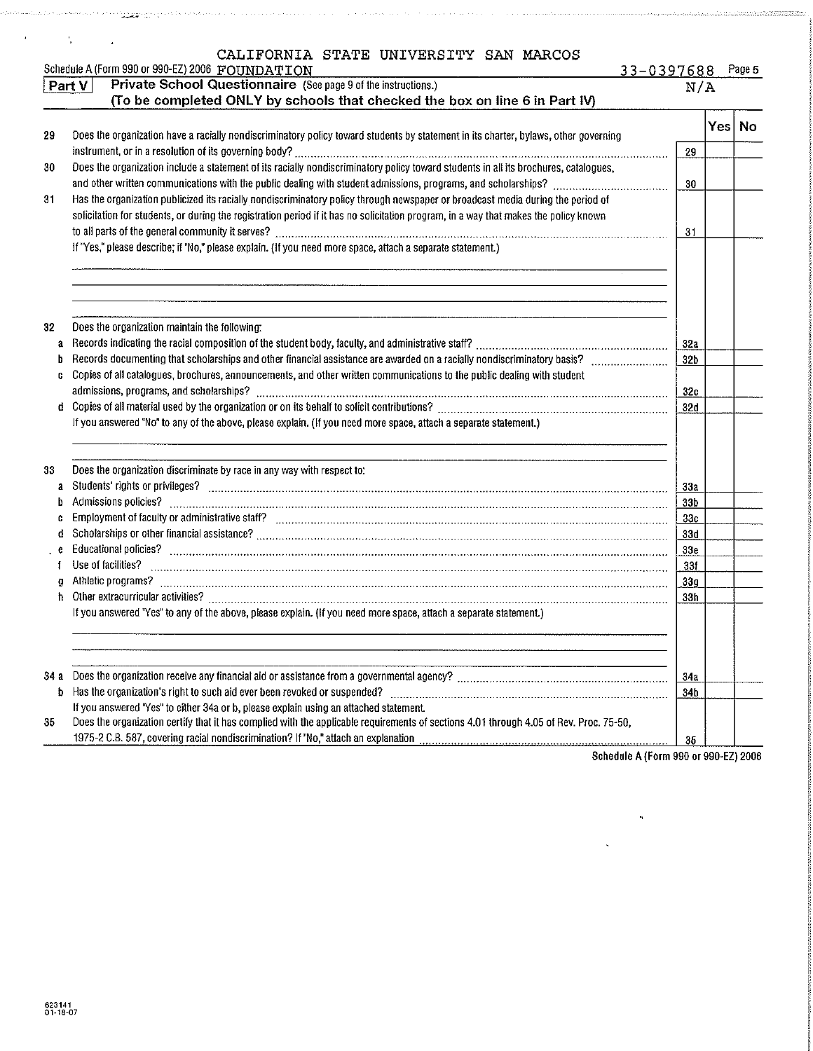|             | CALIFORNIA STATE UNIVERSITY SAN MARCOS<br>Schedule A (Form 990 or 990-EZ) 2006 FOUNDATION                                              | 33-0397688      |     | Page 5 |
|-------------|----------------------------------------------------------------------------------------------------------------------------------------|-----------------|-----|--------|
|             | Private School Questionnaire (See page 9 of the instructions.)<br>Part V                                                               | N/A             |     |        |
|             | (To be completed ONLY by schools that checked the box on line 6 in Part IV)                                                            |                 |     |        |
|             |                                                                                                                                        |                 | Yes | No     |
| 29          | Does the organization have a racially nondiscriminatory policy toward students by statement in its charter, bylaws, other governing    |                 |     |        |
|             |                                                                                                                                        | 29              |     |        |
| 30          | Does the organization include a statement of its racially nondiscriminatory policy toward students in all its brochures, catalogues,   |                 |     |        |
|             |                                                                                                                                        | 30              |     |        |
| 31          | Has the organization publicized its racially nondiscriminatory policy through newspaper or broadcast media during the period of        |                 |     |        |
|             | solicitation for students, or during the registration period if it has no solicitation program, in a way that makes the policy known   |                 |     |        |
|             |                                                                                                                                        | 31              |     |        |
|             | If "Yes," please describe; if "No," please explain. (If you need more space, attach a separate statement.)                             |                 |     |        |
|             |                                                                                                                                        |                 |     |        |
|             |                                                                                                                                        |                 |     |        |
|             |                                                                                                                                        |                 |     |        |
|             |                                                                                                                                        |                 |     |        |
| 32          | Does the organization maintain the following:                                                                                          |                 |     |        |
| a           |                                                                                                                                        | 32a             |     |        |
| b           |                                                                                                                                        | 32 <sub>b</sub> |     |        |
| C           | Copies of all catalogues, brochures, announcements, and other written communications to the public dealing with student                |                 |     |        |
|             |                                                                                                                                        | 32c             |     |        |
| d.          |                                                                                                                                        | 32d             |     |        |
|             | If you answered "No" to any of the above, please explain. (If you need more space, attach a separate statement.)                       |                 |     |        |
|             |                                                                                                                                        |                 |     |        |
|             |                                                                                                                                        |                 |     |        |
| 33          | Does the organization discriminate by race in any way with respect to:                                                                 |                 |     |        |
| a           | Students' rights or privileges? www.communication.communication.communication.com/news/communication.com/news/                         | 33a             |     |        |
|             | Admissions policies?                                                                                                                   | 33b             |     |        |
|             |                                                                                                                                        | 33 <sub>c</sub> |     |        |
| d           |                                                                                                                                        | 33d             |     |        |
|             |                                                                                                                                        | 33 <sub>e</sub> |     |        |
|             | Use of facilities?                                                                                                                     | 33f             |     |        |
| $\mathbf 0$ |                                                                                                                                        | 33g             |     |        |
| ħ           |                                                                                                                                        | 33h             |     |        |
|             | If you answered "Yes" to any of the above, please explain. (If you need more space, attach a separate statement.)                      |                 |     |        |
|             |                                                                                                                                        |                 |     |        |
|             |                                                                                                                                        |                 |     |        |
|             |                                                                                                                                        |                 |     |        |
| 34 a        |                                                                                                                                        | 34a             |     |        |
| b           | Has the organization's right to such aid ever been revoked or suspended?                                                               | 34b             |     |        |
|             | If you answered "Yes" to either 34a or b, please explain using an attached statement.                                                  |                 |     |        |
| 35          | Does the organization certify that it has complied with the applicable requirements of sections 4.01 through 4.05 of Rev. Proc. 75-50, |                 |     |        |
|             | 1975-2 C.B. 587, covering racial nondiscrimination? If "No," attach an explanation                                                     | 35              |     |        |

in a consequence of the second proposed by a

Schedule A (Form 990 or 990-EZ) 2006

,

a de le medica de Siciembre de la distribución de la provincia de la segunda en la construcción de la construcción

 $\mathcal{L}_{\mathbf{z}}$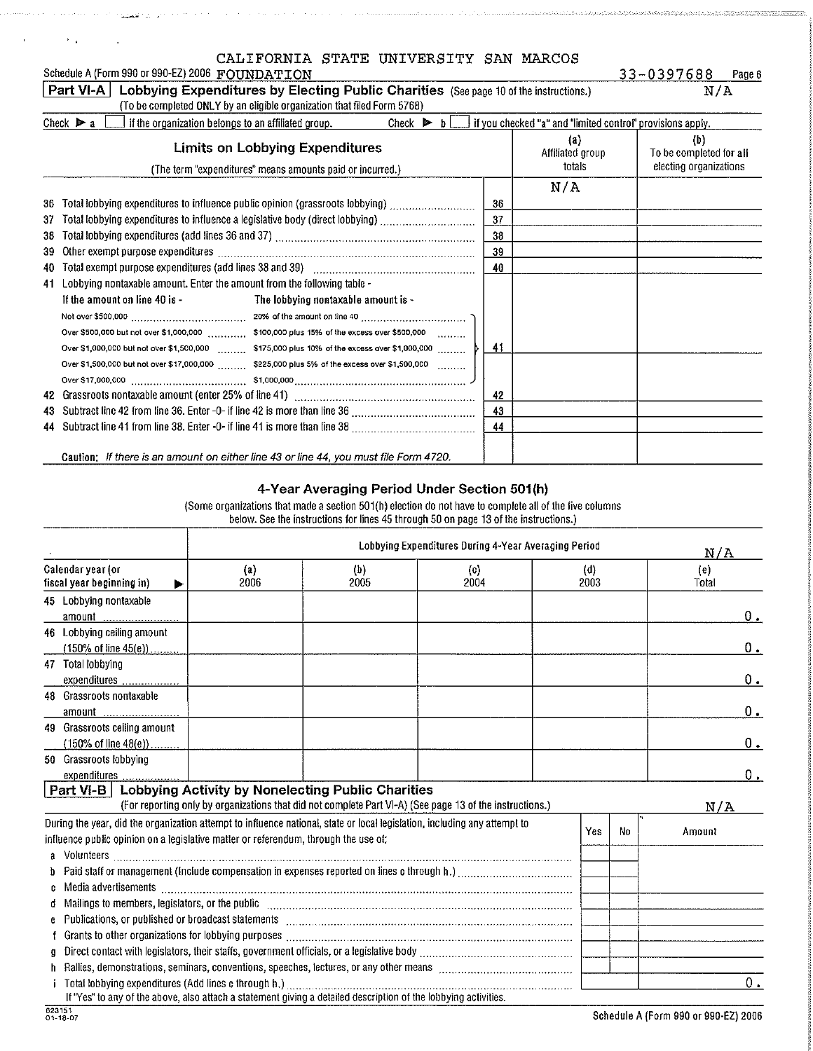| 33-0397688 |  |  |  | Page 6 |
|------------|--|--|--|--------|
|            |  |  |  |        |

| Schedule A (Form 990 or 990-EZ) 2006 FOUNDATION                                                                                                                                     | 33-0397688 |
|-------------------------------------------------------------------------------------------------------------------------------------------------------------------------------------|------------|
| <b>Part VI-A</b>   Lobbying Expenditures by Electing Public Charities (See page 10 of the instructions.)                                                                            | N/A        |
| (To be completed ONLY by an eligible organization that filed Form 5768)                                                                                                             |            |
| Check $\triangleright$ a<br>$\perp$ if you checked "a" and "limited control" provisions apply.<br>l if the organization belongs to an affiliated group.<br>Check $\triangleright$ b |            |

|                 | $\sim$ 0.000. F a comparison that are considered to the annual dependence of $\sim$<br><b>Limits on Lobbying Expenditures</b>                                                                                                                   |                | Once F B Let I Ryon Checked & and million control provisions apply.<br>(a)<br>Affiliated group | (b)<br>To be completed for all |
|-----------------|-------------------------------------------------------------------------------------------------------------------------------------------------------------------------------------------------------------------------------------------------|----------------|------------------------------------------------------------------------------------------------|--------------------------------|
|                 | (The term "expenditures" means amounts paid or incurred.)                                                                                                                                                                                       |                | totals                                                                                         | electing organizations         |
| 36.<br>37<br>38 | Total lobbying expenditures to influence public opinion (grassroots lobbying)<br>Total lobbying expenditures to influence a legislative body (direct lobbying) [[[[[[[[[[[[[[[[[[[[[[[[[[[[[[[[                                                 | 36<br>37<br>38 | N/A                                                                                            |                                |
| 39.             | Other exempt purpose expenditures with an annual continuum continuum continuum continuum continuum continuum c                                                                                                                                  | 39             |                                                                                                |                                |
| 40.             |                                                                                                                                                                                                                                                 | 40             |                                                                                                |                                |
| 41.             | Lobbying nontaxable amount. Enter the amount from the following table -<br>If the amount on line 40 is -<br>The lobbying nontaxable amount is -<br>Over \$1,500,000 but not over \$17,000,000  \$225,000 plus 5% of the excess over \$1,500,000 | -41            |                                                                                                |                                |
| 42              |                                                                                                                                                                                                                                                 | 42             |                                                                                                |                                |
|                 |                                                                                                                                                                                                                                                 | 43<br>44       |                                                                                                |                                |
|                 | Caution: If there is an amount on either line 43 or line 44, you must file Form 4720.                                                                                                                                                           |                |                                                                                                |                                |

### 4-Year Averaging Period Under Section 501(h)

(Some organizations that made a section 501(h) election do not have to complete all of the live columns below See the instructions for lines 45 through 50 on page 13 of the instructions )

|                                                                                                                           | Lobbying Expenditures During 4-Year Averaging Period                                                                                                                                                                                                                                                                                               |                                                                                                                 |             |  |             | N/A |              |         |
|---------------------------------------------------------------------------------------------------------------------------|----------------------------------------------------------------------------------------------------------------------------------------------------------------------------------------------------------------------------------------------------------------------------------------------------------------------------------------------------|-----------------------------------------------------------------------------------------------------------------|-------------|--|-------------|-----|--------------|---------|
| Calendar year (or<br>fiscal year beginning in)                                                                            | $\{a\}$<br>2006                                                                                                                                                                                                                                                                                                                                    | (b)<br>2005                                                                                                     | (c)<br>2004 |  | (d)<br>2003 |     | (e)<br>Total |         |
| 45 Lobbying nontaxable                                                                                                    |                                                                                                                                                                                                                                                                                                                                                    |                                                                                                                 |             |  |             |     |              |         |
| amount _                                                                                                                  |                                                                                                                                                                                                                                                                                                                                                    |                                                                                                                 |             |  |             |     |              | 0.      |
| 46 Lobbying ceiling amount                                                                                                |                                                                                                                                                                                                                                                                                                                                                    |                                                                                                                 |             |  |             |     |              |         |
| $(150\% \text{ of line } 45(e))$                                                                                          |                                                                                                                                                                                                                                                                                                                                                    |                                                                                                                 |             |  |             |     |              | $0$ .   |
| 47 Total lobbying                                                                                                         |                                                                                                                                                                                                                                                                                                                                                    |                                                                                                                 |             |  |             |     |              |         |
| expenditures                                                                                                              |                                                                                                                                                                                                                                                                                                                                                    |                                                                                                                 |             |  |             |     |              | $0_{.}$ |
| 48 Grassroots nontaxable                                                                                                  |                                                                                                                                                                                                                                                                                                                                                    |                                                                                                                 |             |  |             |     |              |         |
| amount <u></u>                                                                                                            |                                                                                                                                                                                                                                                                                                                                                    |                                                                                                                 |             |  |             |     |              | 0.      |
| 49 Grassroots celling amount                                                                                              |                                                                                                                                                                                                                                                                                                                                                    |                                                                                                                 |             |  |             |     |              |         |
| $(150\% \text{ of line } 48(e))$                                                                                          |                                                                                                                                                                                                                                                                                                                                                    |                                                                                                                 |             |  |             |     |              | 0.      |
| 50 Grassroots lobbying                                                                                                    |                                                                                                                                                                                                                                                                                                                                                    |                                                                                                                 |             |  |             |     |              |         |
| expenditures                                                                                                              |                                                                                                                                                                                                                                                                                                                                                    |                                                                                                                 |             |  |             |     |              | $0_{.}$ |
| Part VI-B   Lobbying Activity by Nonelecting Public Charities                                                             |                                                                                                                                                                                                                                                                                                                                                    |                                                                                                                 |             |  |             |     |              |         |
|                                                                                                                           | (For reporting only by organizations that did not complete Part VI-A) (See page 13 of the instructions.)                                                                                                                                                                                                                                           |                                                                                                                 |             |  |             |     | N/A          |         |
| During the year, did the organization attempt to influence national, state or local legislation, including any attempt to |                                                                                                                                                                                                                                                                                                                                                    |                                                                                                                 |             |  | Yes         | No  | Amount       |         |
| influence public opinion on a legislative matter or referendum, through the use of:                                       |                                                                                                                                                                                                                                                                                                                                                    |                                                                                                                 |             |  |             |     |              |         |
|                                                                                                                           |                                                                                                                                                                                                                                                                                                                                                    |                                                                                                                 |             |  |             |     |              |         |
|                                                                                                                           |                                                                                                                                                                                                                                                                                                                                                    |                                                                                                                 |             |  |             |     |              |         |
| c                                                                                                                         |                                                                                                                                                                                                                                                                                                                                                    |                                                                                                                 |             |  |             |     |              |         |
| đ                                                                                                                         |                                                                                                                                                                                                                                                                                                                                                    |                                                                                                                 |             |  |             |     |              |         |
| e                                                                                                                         | Mailings to members, legislators, or the public [11] manufacture manufacture manufacture manufacture manufacture<br>Publications, or published or broadcast statements [11] matter continuum matter is a statement of the contract of the contract of the contract of the contract of the contract of the contract of the contract of the contract |                                                                                                                 |             |  |             |     |              |         |
|                                                                                                                           |                                                                                                                                                                                                                                                                                                                                                    |                                                                                                                 |             |  |             |     |              |         |
| o                                                                                                                         |                                                                                                                                                                                                                                                                                                                                                    |                                                                                                                 |             |  |             |     |              |         |
|                                                                                                                           |                                                                                                                                                                                                                                                                                                                                                    |                                                                                                                 |             |  |             |     |              |         |
| Total lobbying expenditures (Add lines c through h.)                                                                      |                                                                                                                                                                                                                                                                                                                                                    |                                                                                                                 |             |  |             |     |              | 0.      |
|                                                                                                                           |                                                                                                                                                                                                                                                                                                                                                    | If "Yes" to any of the above, also attach a statement giving a detailed description of the lobbying activities. |             |  |             |     |              |         |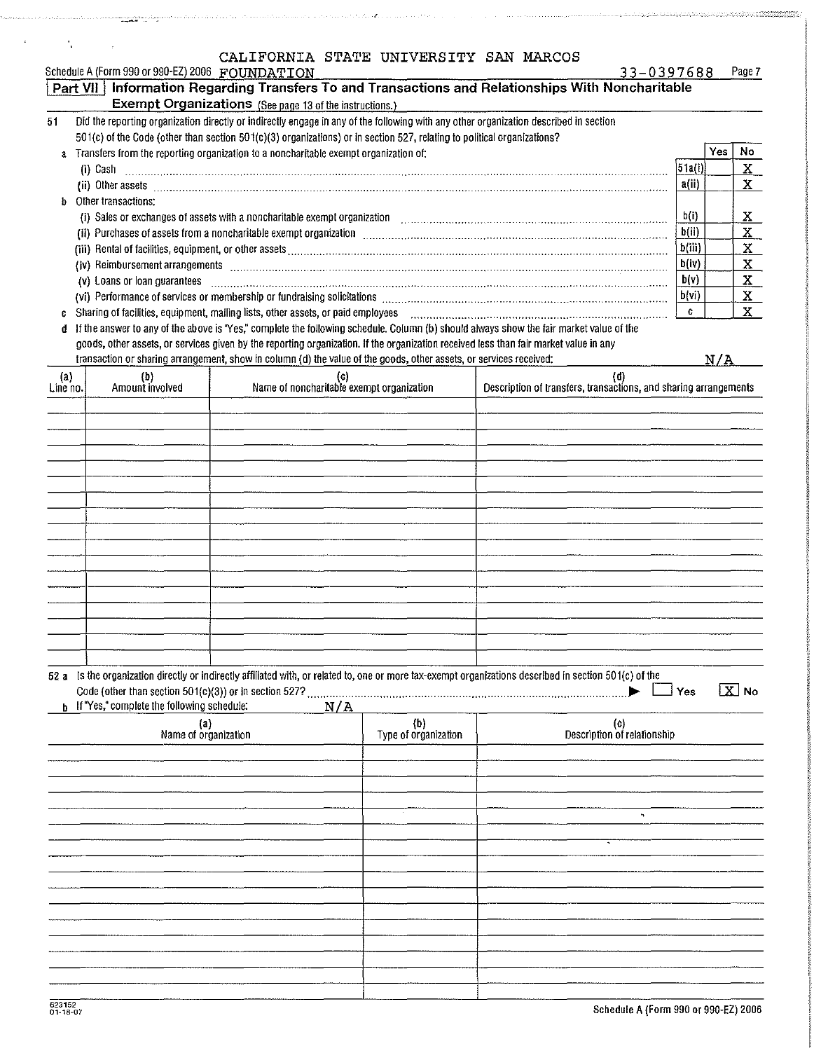|                                                                      |  | CALIFORNIA STATE UNIVERSITY SAN MARCOS |  |            |        |
|----------------------------------------------------------------------|--|----------------------------------------|--|------------|--------|
| Schodule A (Form 998 or 000-F7) 2008 $\pi$ of their a $\pi \cap \pi$ |  |                                        |  | CONTACO CC | Dona 7 |

 $\overline{\phantom{a}}$ 

.<br>Salah

manda Annual (2019) annual

 $\cdot$ 

 $\frac{1}{2}$ 

mandatoristikon

 $\mathbb{Z}$ 

.<br>Kabupatèn Sumawa

ainachth

an

|          | PCUGODIG & (LOLIU AAO OL AAO-ES) SOOO FLOOMDIVATLI OM  |                                                                                                                                                                                                                                      |                      |                                                                  | <b>JJ-UJJ/688</b>                  |     | rage r                |
|----------|--------------------------------------------------------|--------------------------------------------------------------------------------------------------------------------------------------------------------------------------------------------------------------------------------------|----------------------|------------------------------------------------------------------|------------------------------------|-----|-----------------------|
|          |                                                        | Part VII   Information Regarding Transfers To and Transactions and Relationships With Noncharitable                                                                                                                                  |                      |                                                                  |                                    |     |                       |
|          |                                                        | <b>Exempt Organizations</b> (See page 13 of the instructions.)                                                                                                                                                                       |                      |                                                                  |                                    |     |                       |
| 51       |                                                        | Did the reporting organization directly or indirectly engage in any of the following with any other organization described in section                                                                                                |                      |                                                                  |                                    |     |                       |
|          |                                                        | 501(c) of the Code (other than section 501(c)(3) organizations) or in section 527, relating to political organizations?                                                                                                              |                      |                                                                  |                                    |     |                       |
| a        |                                                        | Transfers from the reporting organization to a noncharitable exempt organization of:                                                                                                                                                 |                      |                                                                  |                                    | Yes | No                    |
|          |                                                        |                                                                                                                                                                                                                                      |                      |                                                                  | 51a(i)                             |     | $\mathbf{x}$          |
|          |                                                        | (i) Cash $\ldots$ $\ldots$ $\ldots$ $\ldots$ $\ldots$ $\ldots$ $\ldots$ $\ldots$ $\ldots$ $\ldots$ $\ldots$ $\ldots$ $\ldots$ $\ldots$ $\ldots$ $\ldots$ $\ldots$ $\ldots$ $\ldots$                                                  |                      |                                                                  |                                    |     |                       |
|          |                                                        | (ii) Other assets <b>with a set of the contract of the contract of the contract of the contract of the contract of the contract of the contract of the contract of the contract of the contract of the contract of the contract </b> |                      |                                                                  | a(ii)                              |     | $\mathbf{X}$          |
| b        | Other transactions:                                    |                                                                                                                                                                                                                                      |                      |                                                                  |                                    |     |                       |
|          |                                                        | (i) Sales or exchanges of assets with a noncharitable exempt organization containd accommutation of the scheme contained and state of the state of the state of the state of the state of the state of the state of the state        |                      |                                                                  | b(i)                               |     | X                     |
|          |                                                        | (ii) Purchases of assets from a noncharitable exempt organization contained accommunication and assets from a noncharitable exempt organization contained accommunication of the set of the set of the set of the set of the s       |                      |                                                                  | b(i)                               |     | $\mathbf{x}$          |
|          |                                                        | (iii) Rental of facilities, equipment, or other assets was also assess and an accommodal contained and a facilities and contained and a facilities, equipment, or other assets was also an accommodal contained and a faciliti       |                      |                                                                  | b(iii)                             |     | $\mathbf{x}$          |
|          |                                                        | (iv) Reimbursement arrangements [11] manufactured arrangements are constructed arrangements and the construction of the construction of the construction of the construction of the construction of the construction of the co       |                      |                                                                  | b(iv)                              |     | $\mathbf{x}$          |
|          |                                                        | (v) Loans or loan guarantees <b>communications</b> and continuum continuum continuum continuum continuum continuum continuum continuum continuum continuum continuum continuum continuum continuum continuum continuum continuum co  |                      |                                                                  | b(v)                               |     | $\mathbf{x}$          |
|          |                                                        |                                                                                                                                                                                                                                      |                      |                                                                  | b(vi)                              |     | $\mathbf{X}$          |
|          |                                                        | Sharing of facilities, equipment, mailing lists, other assets, or paid employees                                                                                                                                                     |                      |                                                                  | C                                  |     | X                     |
|          |                                                        |                                                                                                                                                                                                                                      |                      |                                                                  |                                    |     |                       |
| d        |                                                        | If the answer to any of the above is "Yes," complete the following schedule. Column (b) should always show the fair market value of the                                                                                              |                      |                                                                  |                                    |     |                       |
|          |                                                        | goods, other assets, or services given by the reporting organization. If the organization received less than fair market value in any                                                                                                |                      |                                                                  |                                    |     |                       |
|          |                                                        | transaction or sharing arrangement, show in column (d) the value of the goods, other assets, or services received:                                                                                                                   |                      |                                                                  |                                    | N/A |                       |
| (a)      | (b)                                                    | (G)                                                                                                                                                                                                                                  |                      |                                                                  | (d)                                |     |                       |
| Line no. | Amount involved                                        | Name of noncharitable exempt organization                                                                                                                                                                                            |                      | Description of transfers, transactions, and sharing arrangements |                                    |     |                       |
|          |                                                        |                                                                                                                                                                                                                                      |                      |                                                                  |                                    |     |                       |
|          |                                                        |                                                                                                                                                                                                                                      |                      |                                                                  |                                    |     |                       |
|          |                                                        |                                                                                                                                                                                                                                      |                      |                                                                  |                                    |     |                       |
|          |                                                        |                                                                                                                                                                                                                                      |                      |                                                                  |                                    |     |                       |
|          |                                                        |                                                                                                                                                                                                                                      |                      |                                                                  |                                    |     |                       |
|          |                                                        |                                                                                                                                                                                                                                      |                      |                                                                  |                                    |     |                       |
|          |                                                        |                                                                                                                                                                                                                                      |                      |                                                                  |                                    |     |                       |
|          |                                                        |                                                                                                                                                                                                                                      |                      |                                                                  |                                    |     |                       |
|          |                                                        |                                                                                                                                                                                                                                      |                      |                                                                  |                                    |     |                       |
|          |                                                        |                                                                                                                                                                                                                                      |                      |                                                                  |                                    |     |                       |
|          |                                                        |                                                                                                                                                                                                                                      |                      |                                                                  |                                    |     |                       |
|          |                                                        |                                                                                                                                                                                                                                      |                      |                                                                  |                                    |     |                       |
|          |                                                        |                                                                                                                                                                                                                                      |                      |                                                                  |                                    |     |                       |
|          |                                                        |                                                                                                                                                                                                                                      |                      |                                                                  |                                    |     |                       |
|          |                                                        |                                                                                                                                                                                                                                      |                      |                                                                  |                                    |     |                       |
|          |                                                        |                                                                                                                                                                                                                                      |                      |                                                                  |                                    |     |                       |
|          |                                                        |                                                                                                                                                                                                                                      |                      |                                                                  |                                    |     |                       |
|          |                                                        |                                                                                                                                                                                                                                      |                      |                                                                  |                                    |     |                       |
|          |                                                        |                                                                                                                                                                                                                                      |                      |                                                                  |                                    |     |                       |
|          |                                                        | 52 a Is the organization directly or indirectly affiliated with, or related to, one or more tax-exempt organizations described in section 501(c) of the                                                                              |                      |                                                                  |                                    |     |                       |
|          | Code (other than section 501(c)(3)) or in section 527? |                                                                                                                                                                                                                                      |                      |                                                                  | Yes                                |     | $\boxed{\text{X}}$ No |
|          | <b>b</b> If "Yes," complete the following schedule:    | N/A                                                                                                                                                                                                                                  |                      |                                                                  |                                    |     |                       |
|          | $\left( a\right)$                                      |                                                                                                                                                                                                                                      | (b)                  |                                                                  |                                    |     |                       |
|          | Name of organization                                   |                                                                                                                                                                                                                                      | Type of organization |                                                                  | (c)<br>Description of relationship |     |                       |
|          |                                                        |                                                                                                                                                                                                                                      |                      |                                                                  |                                    |     |                       |
|          |                                                        |                                                                                                                                                                                                                                      |                      |                                                                  |                                    |     |                       |
|          |                                                        |                                                                                                                                                                                                                                      |                      |                                                                  |                                    |     |                       |
|          |                                                        |                                                                                                                                                                                                                                      |                      |                                                                  |                                    |     |                       |
|          |                                                        |                                                                                                                                                                                                                                      |                      |                                                                  |                                    |     |                       |
|          |                                                        |                                                                                                                                                                                                                                      |                      |                                                                  |                                    |     |                       |
|          |                                                        |                                                                                                                                                                                                                                      |                      |                                                                  |                                    |     |                       |
|          |                                                        |                                                                                                                                                                                                                                      |                      |                                                                  |                                    |     |                       |
|          |                                                        |                                                                                                                                                                                                                                      |                      |                                                                  |                                    |     |                       |
|          |                                                        |                                                                                                                                                                                                                                      |                      |                                                                  |                                    |     |                       |
|          |                                                        |                                                                                                                                                                                                                                      |                      |                                                                  |                                    |     |                       |
|          |                                                        |                                                                                                                                                                                                                                      |                      |                                                                  |                                    |     |                       |
|          |                                                        |                                                                                                                                                                                                                                      |                      |                                                                  |                                    |     |                       |
|          |                                                        |                                                                                                                                                                                                                                      |                      |                                                                  |                                    |     |                       |
|          |                                                        |                                                                                                                                                                                                                                      |                      |                                                                  |                                    |     |                       |
|          |                                                        |                                                                                                                                                                                                                                      |                      |                                                                  |                                    |     |                       |
|          |                                                        |                                                                                                                                                                                                                                      |                      |                                                                  |                                    |     |                       |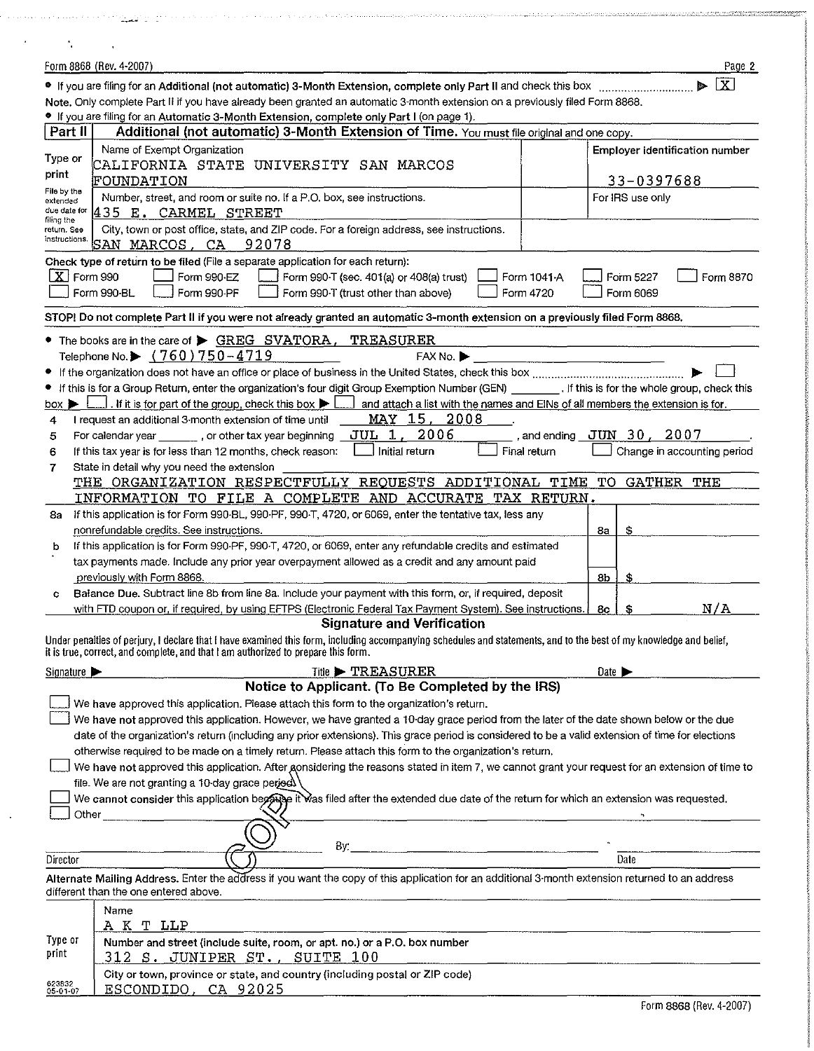|                                 | Form 8868 (Rev. 4-2007)                                                                                                                                                                   |              | Page 2                         |
|---------------------------------|-------------------------------------------------------------------------------------------------------------------------------------------------------------------------------------------|--------------|--------------------------------|
|                                 |                                                                                                                                                                                           |              | $\overline{\mathbf{X}}$<br>a.  |
|                                 | Note, Only complete Part II if you have already been granted an automatic 3-month extension on a previously filed Form 8868.                                                              |              |                                |
|                                 | * If you are filing for an Automatic 3-Month Extension, complete only Part I (on page 1).                                                                                                 |              |                                |
| Part II                         | Additional (not automatic) 3-Month Extension of Time. You must file original and one copy.                                                                                                |              |                                |
| Type or                         | Name of Exempt Organization                                                                                                                                                               |              | Employer identification number |
| print                           | CALIFORNIA STATE UNIVERSITY SAN MARCOS                                                                                                                                                    |              |                                |
| File by the                     | <b>FOUNDATION</b>                                                                                                                                                                         |              | 33-0397688                     |
| extended                        | Number, street, and room or suite no. If a P.O. box, see instructions.                                                                                                                    |              | For IRS use only               |
| due date for<br>filing the      | 435 E. CARMEL STREET                                                                                                                                                                      |              |                                |
| return. See<br>instructions.    | City, town or post office, state, and ZIP code. For a foreign address, see instructions.<br>SAN MARCOS, CA<br>92078                                                                       |              |                                |
|                                 | Check type of return to be filed (File a separate application for each return):                                                                                                           |              |                                |
| $X$ Form 990                    | Form 990-EZ<br>Form 990-T (sec. 401(a) or 408(a) trust)                                                                                                                                   | Form 1041-A  | Form 5227<br>Form 8870         |
|                                 | Form 990-BL<br>Form 990-PF<br>Form 990-T (trust other than above)                                                                                                                         | Form 4720    | Form 6069                      |
|                                 | STOP! Do not complete Part II if you were not already granted an automatic 3-month extension on a previously filed Form 8868.                                                             |              |                                |
|                                 | • The books are in the care of > GREG SVATORA,<br>TREASURER                                                                                                                               |              |                                |
|                                 | Telephone No. $\triangleright$ (760) 750-4719<br>$FAX$ No. $\blacktriangleright$                                                                                                          |              |                                |
|                                 |                                                                                                                                                                                           |              |                                |
|                                 | If this is for a Group Return, enter the organization's four digit Group Exemption Number (GEN) [167] If this is for the whole group, check this                                          |              |                                |
| box $\blacktriangleright$       | . If it is for part of the group, check this box $\blacktriangleright$  <br>and attach a list with the names and EINs of all members the extension is for.                                |              |                                |
| 4                               | MAY 15, 2008<br>I request an additional 3-month extension of time until                                                                                                                   |              |                                |
| 5                               | JUL 1, 2006<br>For calendar year ________, or other tax year beginning _                                                                                                                  |              | , and ending $JUN$ 30 $/$ 2007 |
| 6                               | Initial return<br>If this tax year is for less than 12 months, check reason:                                                                                                              | Final return | Change in accounting period    |
| 7                               | State in detail why you need the extension                                                                                                                                                |              |                                |
|                                 | THE ORGANIZATION RESPECTFULLY REQUESTS ADDITIONAL TIME                                                                                                                                    |              | TO.<br>GATHER<br>THE           |
|                                 | INFORMATION TO FILE A COMPLETE AND ACCURATE TAX RETURN.                                                                                                                                   |              |                                |
| 8a                              | If this application is for Form 990-BL, 990-PF, 990-T, 4720, or 6069, enter the tentative tax, less any                                                                                   |              |                                |
|                                 | nonrefundable credits. See instructions.                                                                                                                                                  |              | \$<br>8a                       |
| b                               | If this application is for Form 990-PF, 990-T, 4720, or 6069, enter any refundable credits and estimated                                                                                  |              |                                |
|                                 | tax payments made. Include any prior year overpayment allowed as a credit and any amount paid                                                                                             |              |                                |
|                                 | previously with Form 8868.<br>Balance Due. Subtract line 8b from line 8a. Include your payment with this form, or, if required, deposit                                                   |              | 8b<br>\$                       |
|                                 |                                                                                                                                                                                           |              | N/A                            |
|                                 | with FTD coupon or, if required, by using EFTPS (Electronic Federal Tax Payment System). See instructions.<br><b>Signature and Verification</b>                                           |              | 8c                             |
|                                 | Under penalties of perjury, I declare that I have examined this form, including accompanying schedules and statements, and to the best of my knowledge and belief,                        |              |                                |
|                                 | it is true, correct, and complete, and that I am authorized to prepare this form.                                                                                                         |              |                                |
| Signature $\blacktriangleright$ | Title <b>&gt; TREASURER</b>                                                                                                                                                               |              | Date $\blacktriangleright$     |
|                                 | Notice to Applicant. (To Be Completed by the IRS)                                                                                                                                         |              |                                |
|                                 | We have approved this application. Please attach this form to the organization's return.                                                                                                  |              |                                |
|                                 | We have not approved this application. However, we have granted a 10 day grace period from the later of the date shown below or the due                                                   |              |                                |
|                                 | date of the organization's return (including any prior extensions). This grace period is considered to be a valid extension of time for elections                                         |              |                                |
|                                 | otherwise required to be made on a timely return. Please attach this form to the organization's return.                                                                                   |              |                                |
|                                 | We have not approved this application. After gonsidering the reasons stated in item 7, we cannot grant your request for an extension of time to                                           |              |                                |
|                                 | file. We are not granting a 10-day grace period                                                                                                                                           |              |                                |
|                                 | We cannot consider this application begauge it was filed after the extended due date of the return for which an extension was requested.                                                  |              |                                |
| Other                           |                                                                                                                                                                                           |              |                                |
|                                 | By: $\qquad \qquad$                                                                                                                                                                       |              |                                |
| Director                        |                                                                                                                                                                                           |              | Date                           |
|                                 | Alternate Mailing Address. Enter the address if you want the copy of this application for an additional 3-month extension returned to an address<br>different than the one entered above. |              |                                |
|                                 | Name                                                                                                                                                                                      |              |                                |
|                                 | <u>A K T LLP</u>                                                                                                                                                                          |              |                                |
| Type or                         | Number and street (include suite, room, or apt. no.) or a P.O. box number                                                                                                                 |              |                                |
| print                           | <u>312 S. JUNIPER ST., SUITE 100</u>                                                                                                                                                      |              |                                |
| 623832<br>05-01-07              | City or town, province or state, and country (including postal or ZIP code)<br>ESCONDIDO, CA 92025                                                                                        |              |                                |

and a constitution of the production of the construction of the distribution and analysis of the constitution of the component

 $\hat{r}$  ,  $\hat{r}$  ,  $\hat{r}$  ,  $\hat{r}$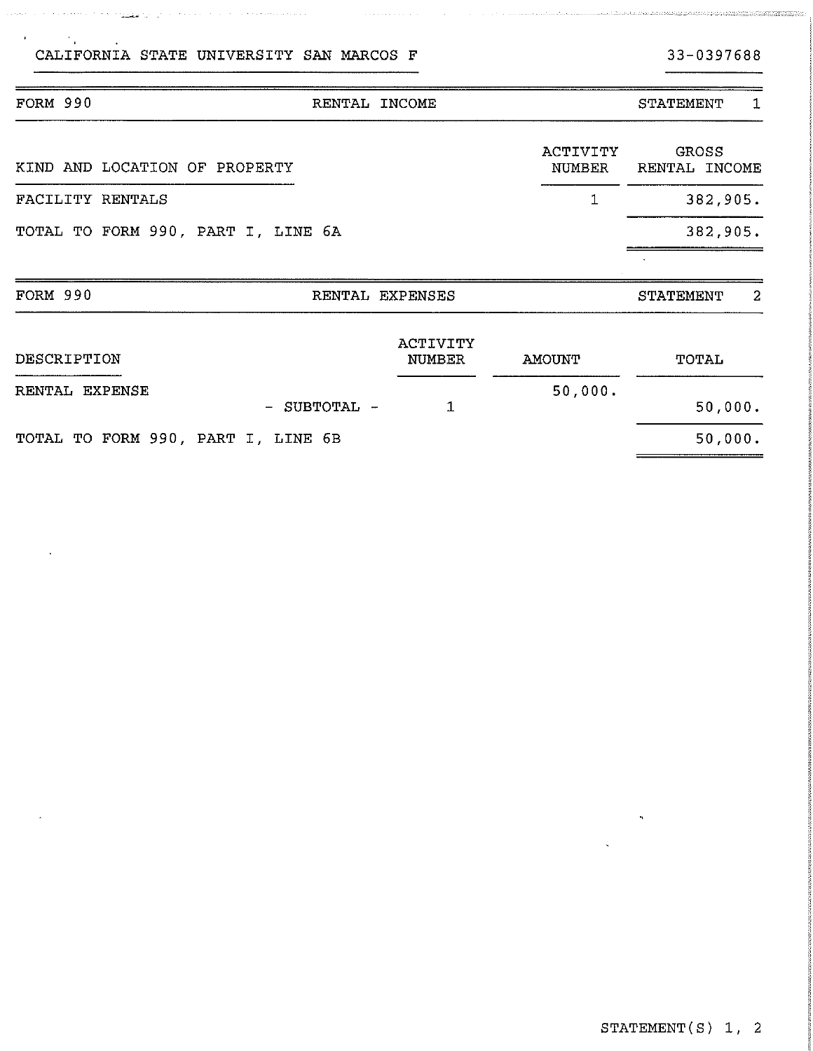a kalendar kalendar (1918) ing <mark>kabup</mark>at pada tahun 1918 dan kalendar kalendar dan b

 $\mathbf{r}$ 

## FORM 990 RENTAL INCOME RENTAL STATEMENT 1 ACTIVITY GROSS<br>NUMBER RENTAL INCOME KIND AND LOCATION OF PROPERTY NUMBER FACILITY RENTALS 1 382,905. TOTAL TO FORM 990, PART I, LINE 6A 382,905. FORM 990 RENTAL EXPENSES STATEMENT 2 ACTIVITY

| DESCRIPTION                        |              | NUMBER | AMOUNT  | TOTAL   |  |
|------------------------------------|--------------|--------|---------|---------|--|
| RENTAL EXPENSE                     |              |        | 50,000. |         |  |
|                                    | - SUBTOTAL - |        |         | 50,000. |  |
| TOTAL TO FORM 990, PART I, LINE 6B |              |        |         | 50,000. |  |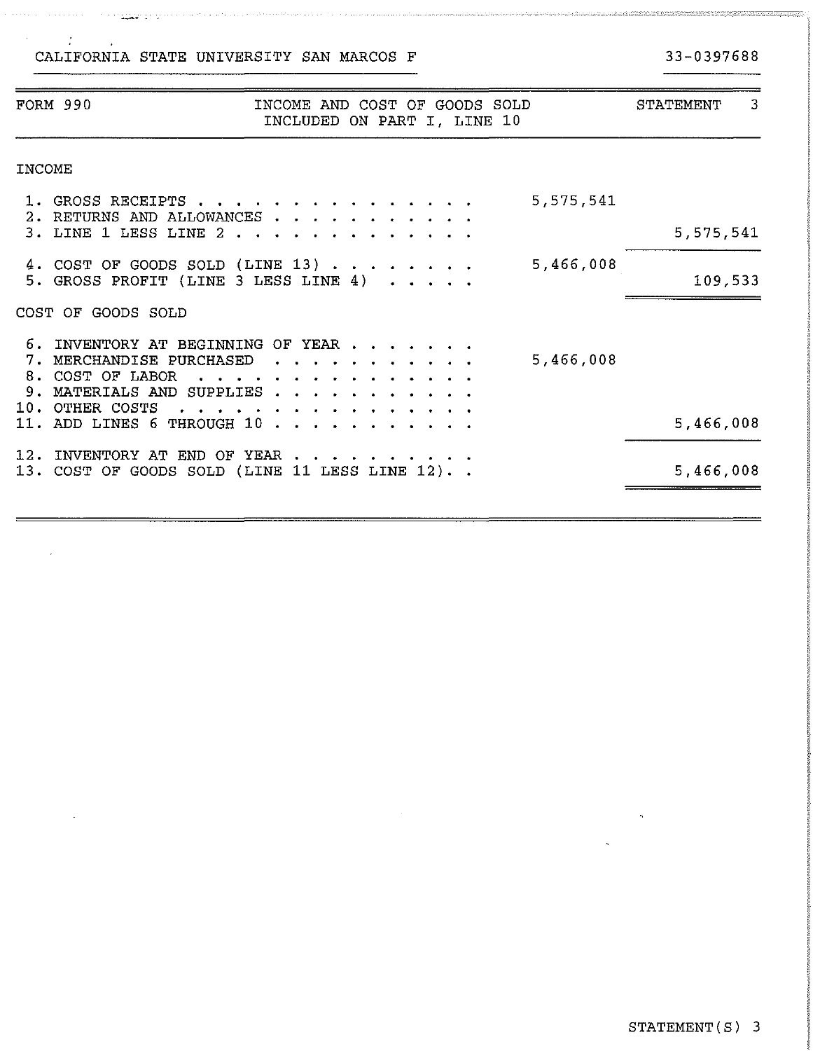$\sim 10^7$ 

 $\sim 10^6$ 

### 33-0397688

|        | <b>FORM 990</b>                                                                              | INCOME AND COST OF GOODS SOLD<br>INCLUDED ON PART I, LINE 10                                  | 3<br>STATEMENT |
|--------|----------------------------------------------------------------------------------------------|-----------------------------------------------------------------------------------------------|----------------|
| INCOME |                                                                                              |                                                                                               |                |
|        | 1. GROSS RECEIPTS<br>2. RETURNS AND ALLOWANCES                                               | 5,575,541                                                                                     |                |
|        | 3. LINE 1 LESS LINE 2                                                                        |                                                                                               | 5,575,541      |
|        |                                                                                              | 5,466,008<br>4. COST OF GOODS SOLD (LINE 13) $\cdots$<br>5. GROSS PROFIT (LINE 3 LESS LINE 4) | 109,533        |
|        | COST OF GOODS SOLD                                                                           |                                                                                               |                |
|        | 7. MERCHANDISE PURCHASED<br>8. COST OF LABOR<br>9. MATERIALS AND SUPPLIES<br>10. OTHER COSTS | 6. INVENTORY AT BEGINNING OF YEAR<br>5,466,008<br>$\bullet$ . $\bullet$ .<br>.                |                |
|        | 11. ADD LINES 6 THROUGH 10                                                                   |                                                                                               | 5,466,008      |
|        | 12. INVENTORY AT END OF YEAR                                                                 | 13. COST OF GOODS SOLD (LINE 11 LESS LINE 12). .                                              | 5,466,008      |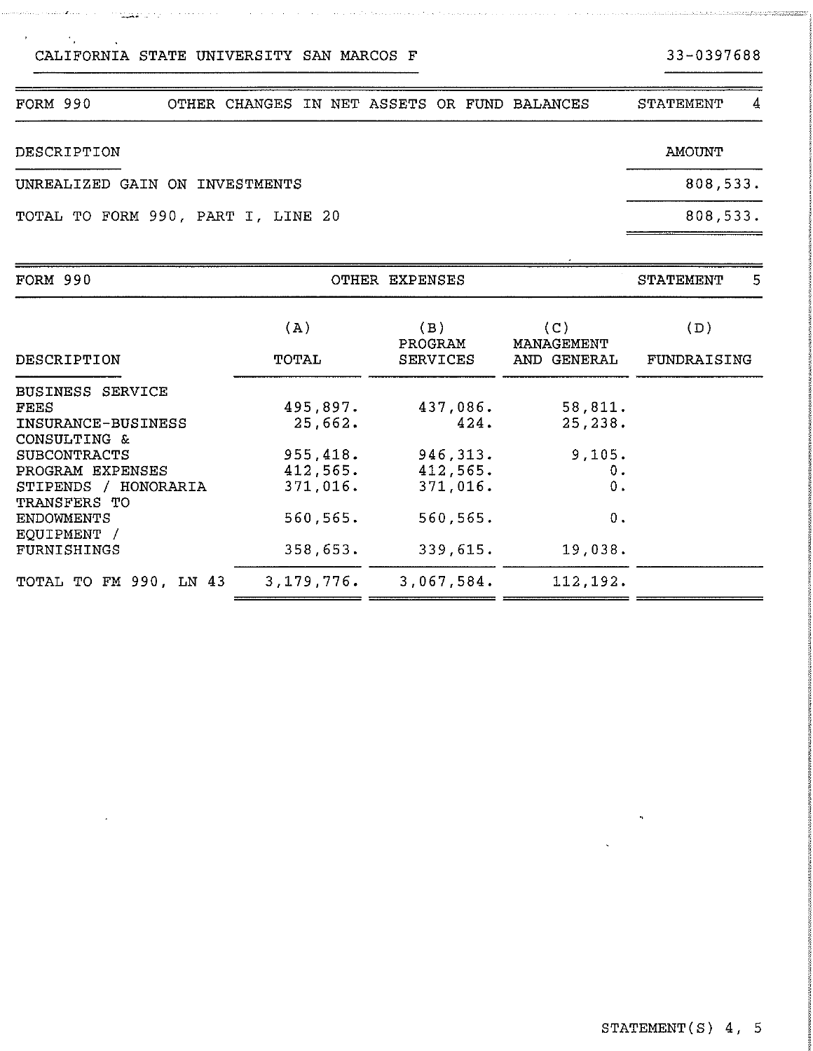### STATEMENT(S) 4, 5

| DESCRIPTION                        | AMOUNT   |
|------------------------------------|----------|
| UNREALIZED GAIN ON INVESTMENTS     | 808,533. |
| TOTAL TO FORM 990, PART I, LINE 20 | 808.533. |

FORM 990 OTHER CHANGES IN NET ASSETS OR FUND BALANCES STATEMENT 4

and the state of the second contract of the state of the state of the state of the state of the state of the state of the state of the state of the state of the state of the state of the state of the state of the state of

| FORM 990                             | OTHER EXPENSES |                 |                   | 5<br>STATEMENT |  |
|--------------------------------------|----------------|-----------------|-------------------|----------------|--|
|                                      | (A)            | (B)<br>PROGRAM  | (C)<br>MANAGEMENT | (D)            |  |
| DESCRIPTION                          | TOTAL          | <b>SERVICES</b> | AND GENERAL       | FUNDRAISING    |  |
| <b>BUSINESS SERVICE</b>              |                |                 |                   |                |  |
| FEES                                 | 495,897.       | 437,086.        | 58,811.           |                |  |
| INSURANCE-BUSINESS                   | 25,662.        | 424.            | 25, 238.          |                |  |
| CONSULTING &                         |                |                 |                   |                |  |
| <b>SUBCONTRACTS</b>                  | 955,418.       | 946, 313.       | 9,105.            |                |  |
| PROGRAM EXPENSES                     | 412,565.       | 412,565.        | 0.                |                |  |
| STIPENDS / HONORARIA<br>TRANSFERS TO | 371,016.       | 371,016.        | 0.                |                |  |
| <b>ENDOWMENTS</b><br>EQUIPMENT /     | 560,565.       | 560,565.        | 0.                |                |  |
| FURNISHINGS                          | 358,653.       | 339,615.        | 19,038.           |                |  |
| TOTAL TO FM 990, LN 43               | 3,179,776.     | 3,067,584.      | 112,192.          |                |  |

### $\rightarrow$

in magazaran yang berbentuk pen

.<br>Alaman kalendar kalendar kalendar kalendar kalendar kalendar kalendar kalendar kalendar kalendar kalendar kale

 $\mathcal{A}^{\text{max}}_{\text{max}}$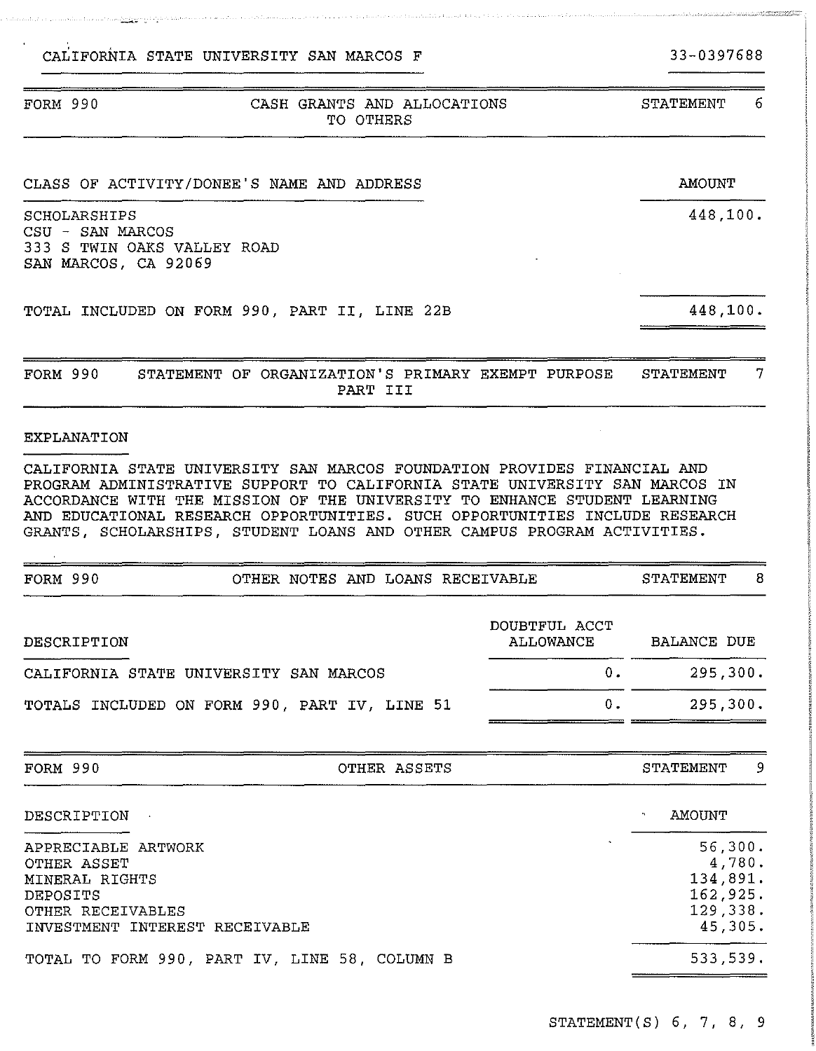### FORM 990 CASH GRANTS AND ALLOCATIONS TO OTHERS STATEMENT 6

### CLASS OF ACTIVITY/DONEE'S NAME AND ADDRESS

SCHOLARSHIPS CSU - SAN MARCOS 333 S TWIN OAKS VALLEY ROAD SAN MARCOS, CA 92069

والمحمد فالتقادم والمقاوم فالمواقع فالإنتيان

TOTAL INCLUDED ON FORM 990, PART II, LINE 22B

FORM 990 STATEMENT OF ORGANIZATION'S PRIMARY EXEMPT PURPOSE STATEMENT 7 PART III

### EXPLANATION

CALIFORNIA STATE UNIVERSITY SAN MARCOS FOUNDATION PROVIDES FINANCIAL AND PROGRAM ADMINISTRATIVE SUPPORT TO CALIFORNIA STATE UNIVERSITY SAN MARCOS IN ACCORDANCE WITH THE MISSION OF **THE** UNIVERSITY TO ENHANCE STUDENT LEARNING AND EDUCATIONAL RESEARCH OPPORTUNITIES. SUCH OPPORTUNITIES INCLUDE RESEARCH GRANTS, SCHOLARSHIPS, STUDENT LOANS AND OTHER CAMPUS PROGRAM ACTIVITIES.

| FORM 990                                                                                                                   | 8<br>STATEMENT                                |                                   |                                                                  |
|----------------------------------------------------------------------------------------------------------------------------|-----------------------------------------------|-----------------------------------|------------------------------------------------------------------|
| DESCRIPTION                                                                                                                |                                               | DOUBTFUL ACCT<br><b>ALLOWANCE</b> | BALANCE DUE                                                      |
|                                                                                                                            | CALIFORNIA STATE UNIVERSITY SAN MARCOS        | $0$ .                             | 295,300.                                                         |
|                                                                                                                            | TOTALS INCLUDED ON FORM 990, PART IV, LINE 51 | $0$ .                             | 295,300.                                                         |
| FORM 990                                                                                                                   | OTHER ASSETS                                  |                                   | -9<br>STATEMENT                                                  |
| DESCRIPTION                                                                                                                |                                               |                                   | <b>AMOUNT</b>                                                    |
| APPRECIABLE<br>ARTWORK<br>OTHER ASSET<br>MINERAL RIGHTS<br>DEPOSITS<br>OTHER RECEIVABLES<br>INVESTMENT INTEREST RECEIVABLE |                                               |                                   | 56,300.<br>4,780.<br>134,891.<br>162,925.<br>129,338.<br>45,305. |
|                                                                                                                            | TOTAL TO FORM 990, PART IV, LINE 58, COLUMN B |                                   | 533,539.                                                         |

33-0397688

AMOUNT

448,100.

448,100.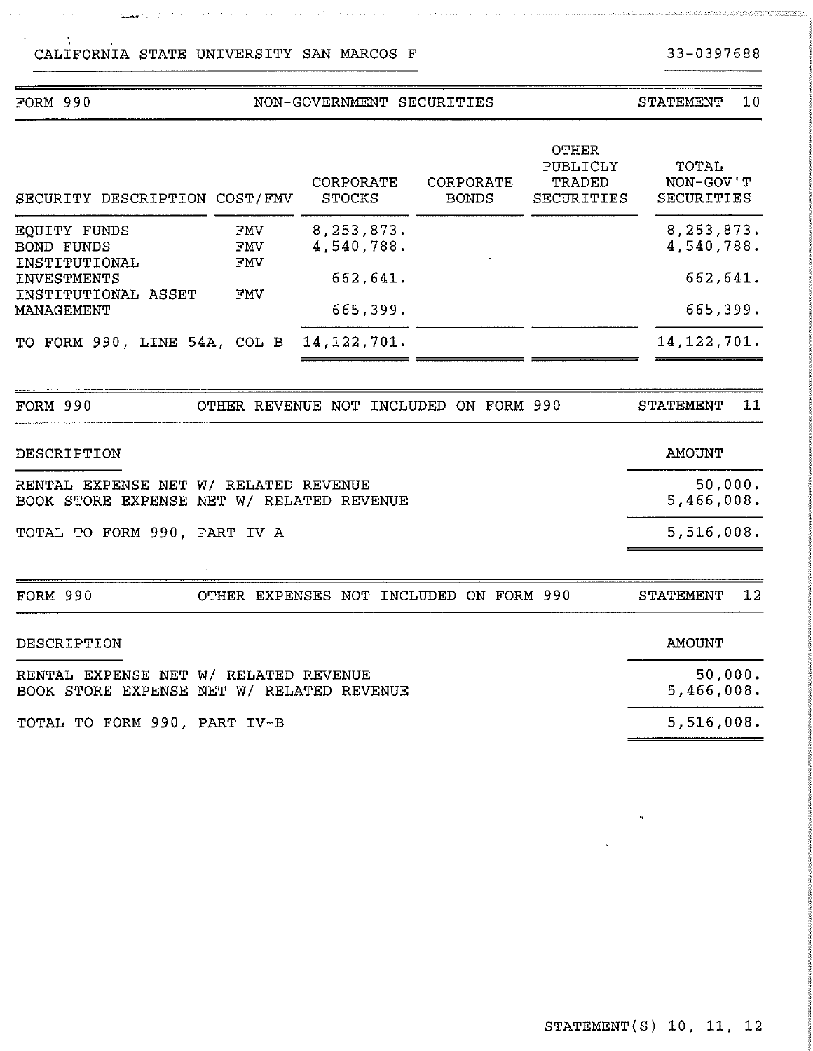### FORM 990 NON-GOVERNMENT SECURITIES CORPORATE SECURITY DESCRIPTION COST/FMV STOCKS EQUITY FUNDS FMV 8,253,873. BOND FUNDS FMV 4,540,788. INSTITUTIONAL FMV INVESTMENTS 662,641.<br>INSTITUTIONAL ASSET FMV INSTITUTIONAL ASSET MANAGEMENT 665,399. TO FORM 990, LINE 54A, COL B 14, 122, 701. OTHER PUBLICLY CORPORATE TRADED BONDS SECURITIES FORM 990 OTHER REVENUE NOT INCLUDED ON FORM 990 DESCRIPTION RENTAL EXPENSE NET W/ RELATED REVENUE BOOK STORE EXPENSE NET W/ RELATED REVENUE TOTAL TO FORM 990, PART IV-A FORM 990 OTHER EXPENSES NOT INCLUDED ON FORM 990 DESCRIPTION RENTAL EXPENSE NET W/ RELATED REVENUE BOOK STORE EXPENSE NET W/ RELATED REVENUE STATEMENT 10 TOTAL NON-GOV'T SECURITIES 8,253,873. 4,540,788. 662' 641. 665,399. 14' 122' 701. STATEMENT 11 AMOUNT 50,000. 5,466,008. 5,516,008. STATEMENT 12 AMOUNT 50,000. 5,466,008.

TOTAL TO FORM 990, PART IV-B

5,516,008.

33-0397688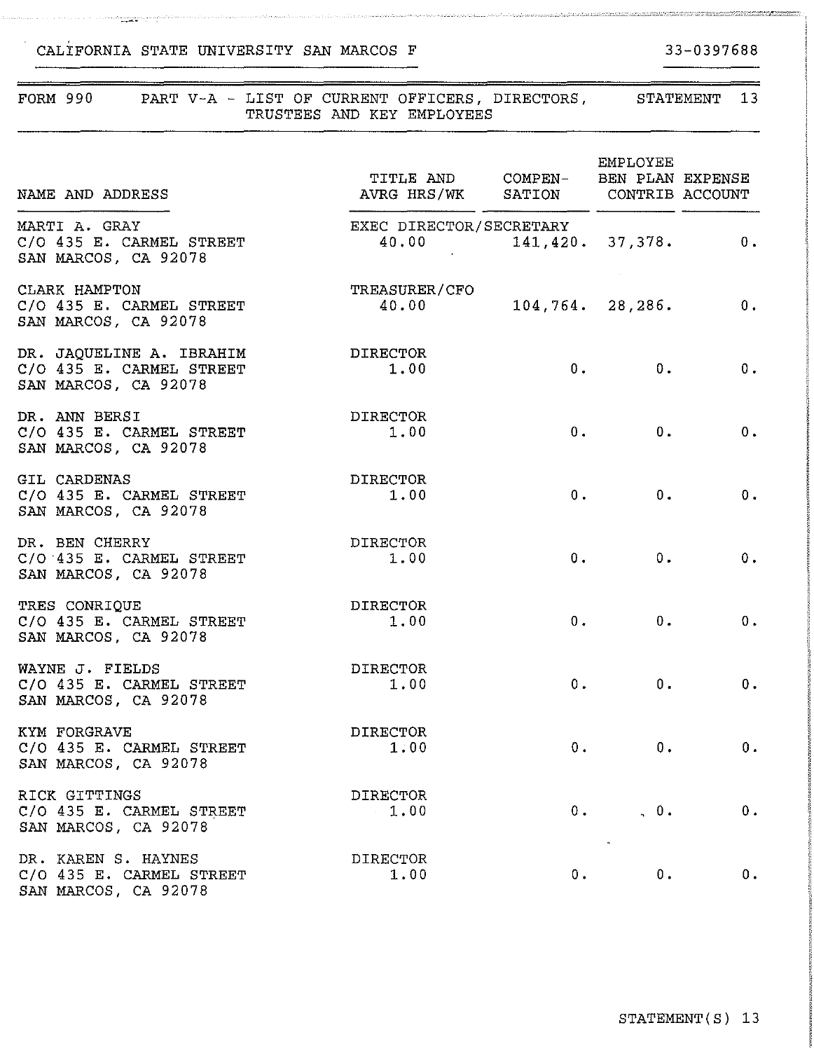SAN MARCOS, CA 92078

### FORM 990 PART V-A - LIST OF CURRENT OFFICERS, DIRECTORS, STATEMENT 13 TRUSTEES AND KEY EMPLOYEES EMPLOYEE TITLE AND COMPEN-BEN PLAN EXPENSE NAME AND ADDRESS **AVRG HRS/WK** SATION CONTRIB ACCOUNT MARTI A. GRAY<br>C/O 435 E. CARMEL STREET 40.00 141.420. C/O 435 E. CARMEL STREET 40.00 141,420. 37,378. 0. SAN MARCOS, CA 92078 CLARK HAMPTON TREASURER/CFO  $40.00$   $104,764$ ,  $28,286$ , 0.  $C/O$  435 E. CARMEL STREET  $40.00$  104,764. SAN MARCOS, CA 92078 DR. JAQUELINE A. IBRAHIM DIRECTOR C/O  $43\overline{5}$  E. CARMEL STREET 1.00 0.  $0.$  0. 0. SAN MARCOS, CA 92078 DR. ANN BERSI<br>C/O 435 E. CARMEL STREET 1.00  $C/O$  435 E. CARMEL STREET  $0.$   $0.$   $0.$   $0.$ SAN MARCOS, CA 92078 GIL CARDENAS<br>
C/O 435 E. CARMEL STREET 1.00 0. o.  $C/O$  435 E. CARMEL STREET SAN MARCOS, CA 92078 DR. BEN CHERRY DIRECTOR  $0.$  0. 0.  $C/O$  435 E. CARMEL STREET 1.00 SAN MARCOS, CA 92078 TRES CONRIQUE DIRECTOR  $0.$   $0.$   $0.$  $C/O$  435 E. CARMEL STREET 1.00 SAN MARCOS, CA 92078 WAYNE J. FIELDS<br>C/O 435 E. CARMEL STREET 1.00 0. 0.  $C/O$  435 E. CARMEL STREET  $1.00$  0. SAN MARCOS, CA 92078 KYM FORGRAVE DIRECTOR  $C/O$  435 E. CARMEL STREET 1.00  $0.$  0. 0. SAN MARCOS, CA 92078 RICK GITTINGS DIRECTOR  $\begin{array}{ccccccc}\n0 & 0 & 0 & 0 \\
0 & 0 & 0 & 0\n\end{array}$  $C/O$  435 E. CARMEL STREET 1.00 SAN MARCOS, CA 92078 DR. KAREN S. HAYNES<br>C/O 435 E. CARMEL STREET 1.00 C/O 435 E. CARMEL STREET  $0.$   $0.$   $0.$   $0.$

33-0397688<br>————————————————————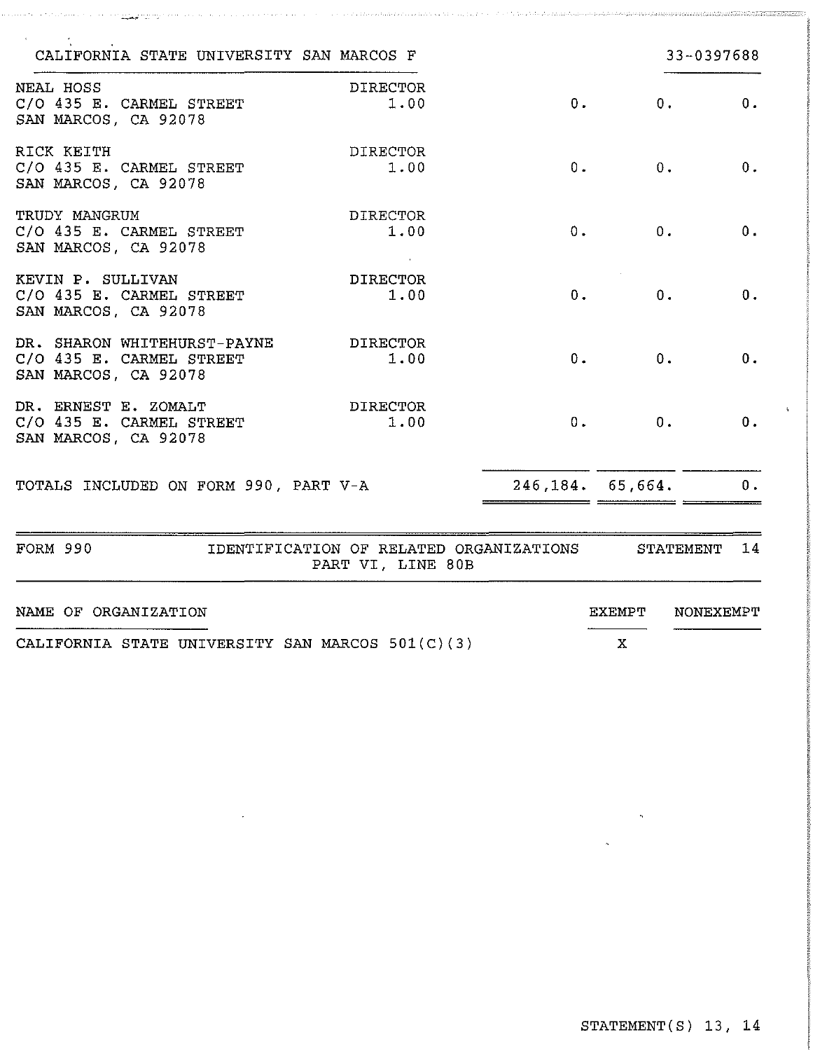| CALIFORNIA STATE UNIVERSITY SAN MARCOS F                                        |                                                              |       |                    | 33-0397688      |
|---------------------------------------------------------------------------------|--------------------------------------------------------------|-------|--------------------|-----------------|
| NEAL HOSS<br>C/O 435 E. CARMEL STREET<br>SAN MARCOS, CA 92078                   | <b>DIRECTOR</b><br>1.00                                      | 0.    |                    | 0.<br>0.        |
| RICK KEITH<br>C/O 435 E. CARMEL STREET<br>SAN MARCOS, CA 92078                  | <b>DIRECTOR</b><br>1.00                                      | 0.    | 0.                 | 0.              |
| TRUDY MANGRUM<br>C/O 435 E. CARMEL STREET<br>SAN MARCOS, CA 92078               | <b>DIRECTOR</b><br>1.00                                      | 0.    | 0.                 | 0.              |
| KEVIN P. SULLIVAN<br>C/O 435 E. CARMEL STREET<br>SAN MARCOS, CA 92078           | <b>DIRECTOR</b><br>1.00                                      | 0.    | 0.                 | 0.              |
| DR. SHARON WHITEHURST-PAYNE<br>C/O 435 E. CARMEL STREET<br>SAN MARCOS, CA 92078 | DIRECTOR<br>1.00                                             | $0$ . | 0.                 | 0.              |
| DR. ERNEST E. ZOMALT<br>C/O 435 E. CARMEL STREET<br>SAN MARCOS, CA 92078        | <b>DIRECTOR</b><br>1.00                                      | 0.    | 0.                 | 0.              |
| TOTALS INCLUDED ON FORM 990, PART V-A                                           |                                                              |       | 246, 184, 65, 664. | 0.              |
| FORM 990                                                                        | IDENTIFICATION OF RELATED ORGANIZATIONS<br>PART VI, LINE 80B |       |                    | STATEMENT<br>14 |
| NAME OF ORGANIZATION                                                            |                                                              |       | EXEMPT             | NONEXEMPT       |
| CALIFORNIA STATE UNIVERSITY SAN MARCOS 501(C)(3)                                |                                                              |       | X                  |                 |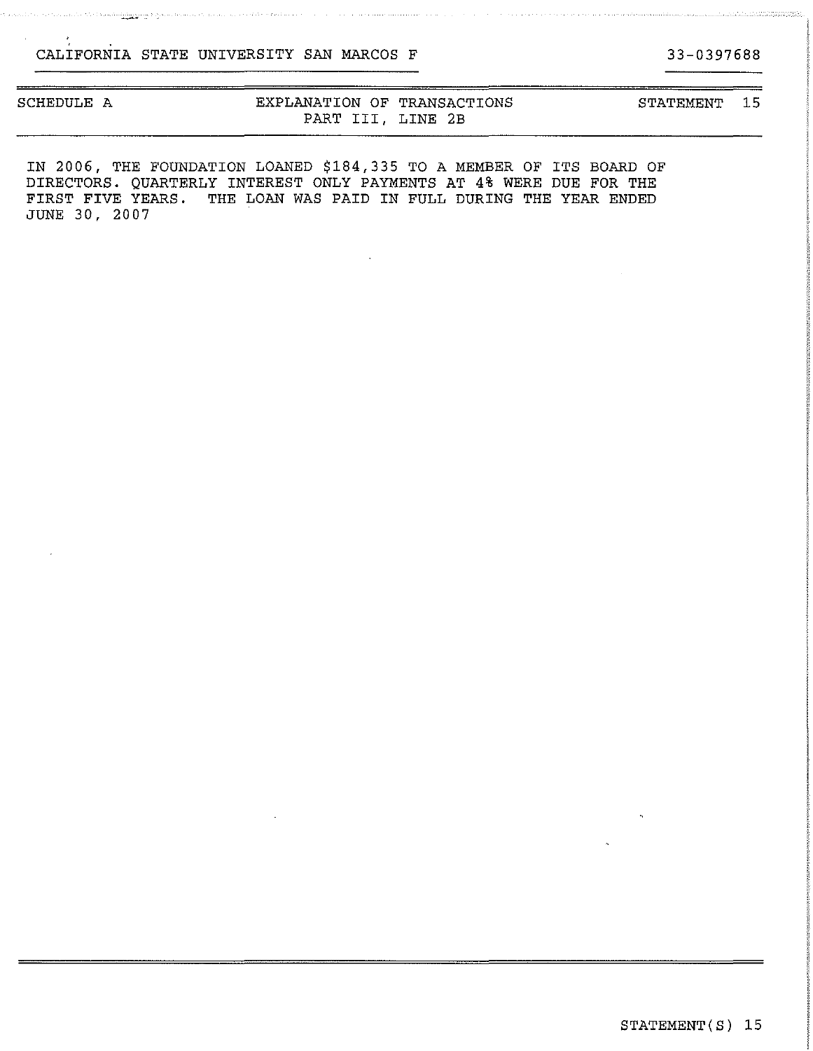| SCHEDULE A |  |  |
|------------|--|--|
|------------|--|--|

salaraha seserang ngagananan ke pang

### EXPLANATION OF TRANSACTIONS PART III, LINE 2B

STATEMENT 15

IN 2006, THE FOUNDATION LOANED \$184,335 TO A MEMBER OF ITS BOARD OF DIRECTORS. QUARTERLY INTEREST ONLY PAYMENTS AT **4%** WERE DUE FOR **THE**  FIRST FIVE YEARS. THE LOAN WAS PAID IN FULL DURING THE YEAR ENDED JUNE 30, 2007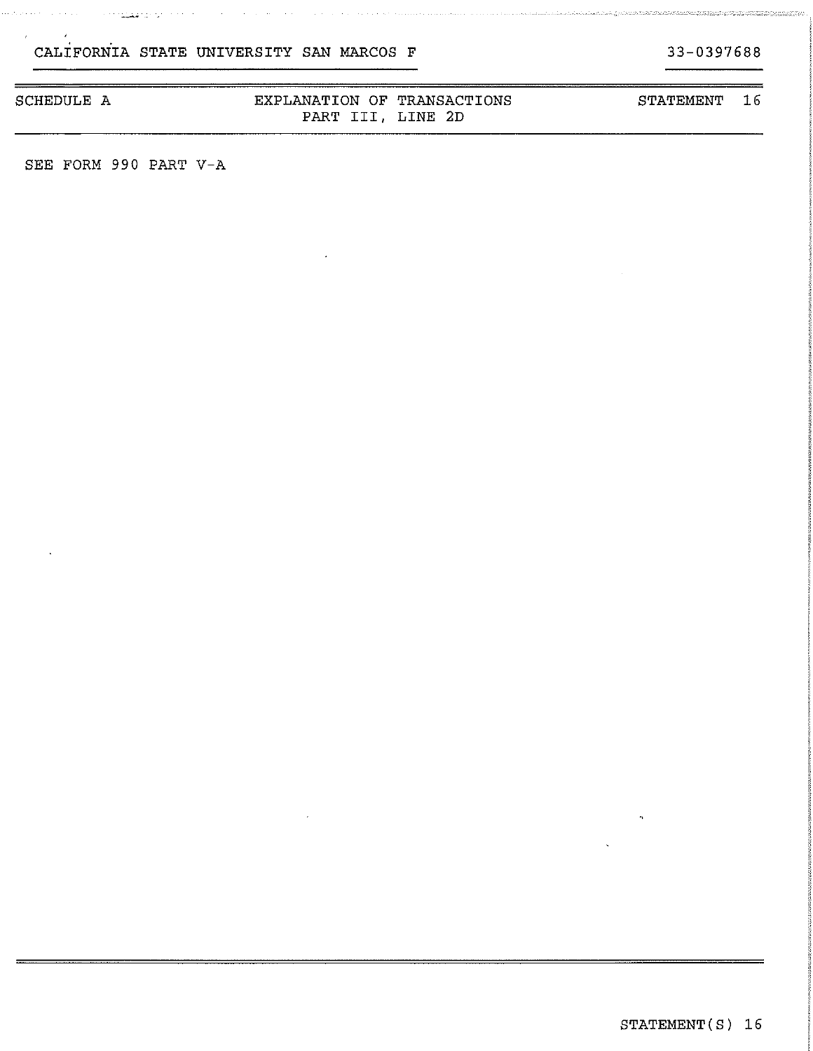$\mathcal{L}(\mathcal{A})$  and  $\mathcal{L}(\mathcal{A})$  and  $\mathcal{L}(\mathcal{A})$ 

#### SCHEDULE A EXPLANATION OF TRANSACTIONS PART III, LINE 2D STATEMENT 16

SEE FORM 990 PART V-A

<u> Santa Caranteen (Santa Caranteen)</u>

33-0397688

e de la computación de la computación de la computación de la computación de la computación de la computación<br>La computación de la computación de la computación de la computación de la computación de la computación de la